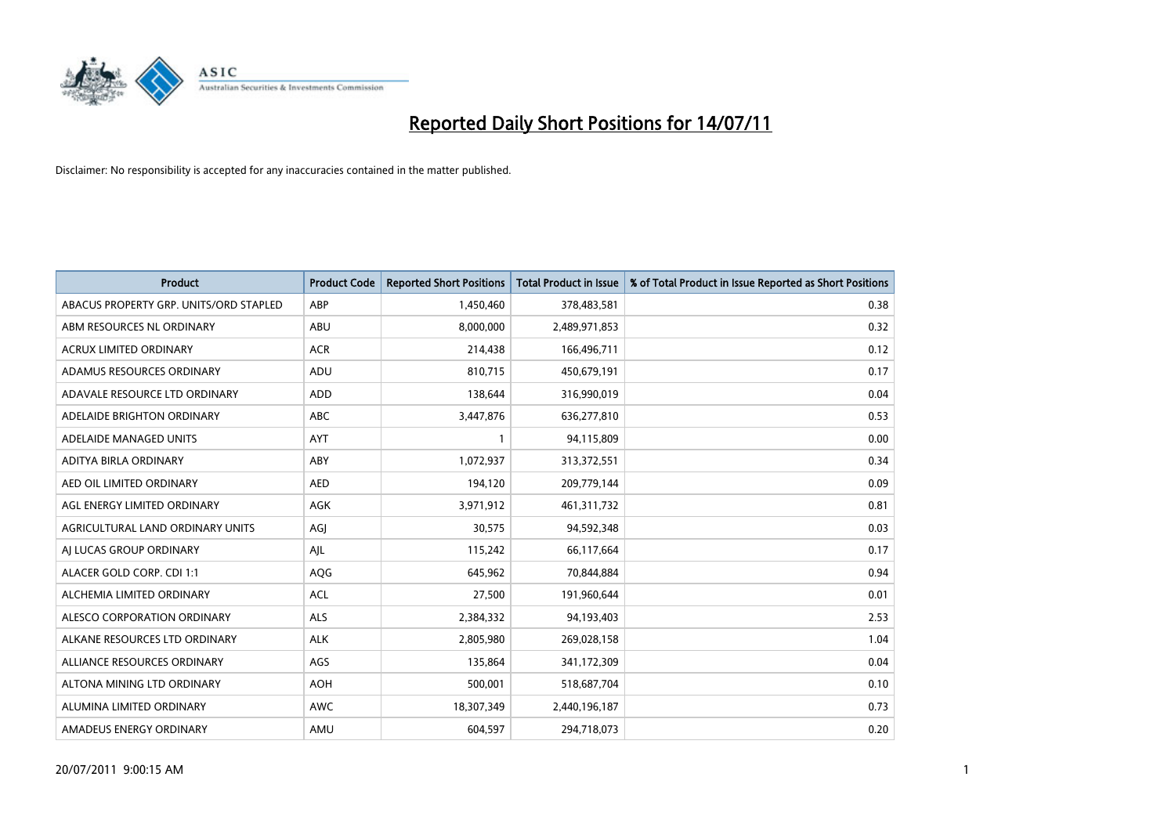

| <b>Product</b>                         | <b>Product Code</b> | <b>Reported Short Positions</b> | <b>Total Product in Issue</b> | % of Total Product in Issue Reported as Short Positions |
|----------------------------------------|---------------------|---------------------------------|-------------------------------|---------------------------------------------------------|
| ABACUS PROPERTY GRP. UNITS/ORD STAPLED | ABP                 | 1,450,460                       | 378,483,581                   | 0.38                                                    |
| ABM RESOURCES NL ORDINARY              | ABU                 | 8,000,000                       | 2,489,971,853                 | 0.32                                                    |
| <b>ACRUX LIMITED ORDINARY</b>          | <b>ACR</b>          | 214,438                         | 166,496,711                   | 0.12                                                    |
| ADAMUS RESOURCES ORDINARY              | ADU                 | 810,715                         | 450,679,191                   | 0.17                                                    |
| ADAVALE RESOURCE LTD ORDINARY          | ADD                 | 138,644                         | 316,990,019                   | 0.04                                                    |
| ADELAIDE BRIGHTON ORDINARY             | <b>ABC</b>          | 3,447,876                       | 636,277,810                   | 0.53                                                    |
| ADELAIDE MANAGED UNITS                 | <b>AYT</b>          |                                 | 94,115,809                    | 0.00                                                    |
| ADITYA BIRLA ORDINARY                  | ABY                 | 1,072,937                       | 313,372,551                   | 0.34                                                    |
| AED OIL LIMITED ORDINARY               | <b>AED</b>          | 194,120                         | 209,779,144                   | 0.09                                                    |
| AGL ENERGY LIMITED ORDINARY            | <b>AGK</b>          | 3,971,912                       | 461,311,732                   | 0.81                                                    |
| AGRICULTURAL LAND ORDINARY UNITS       | AGJ                 | 30,575                          | 94,592,348                    | 0.03                                                    |
| AI LUCAS GROUP ORDINARY                | AJL                 | 115,242                         | 66,117,664                    | 0.17                                                    |
| ALACER GOLD CORP. CDI 1:1              | AQG                 | 645,962                         | 70,844,884                    | 0.94                                                    |
| ALCHEMIA LIMITED ORDINARY              | ACL                 | 27,500                          | 191,960,644                   | 0.01                                                    |
| ALESCO CORPORATION ORDINARY            | <b>ALS</b>          | 2,384,332                       | 94,193,403                    | 2.53                                                    |
| ALKANE RESOURCES LTD ORDINARY          | <b>ALK</b>          | 2,805,980                       | 269,028,158                   | 1.04                                                    |
| ALLIANCE RESOURCES ORDINARY            | AGS                 | 135,864                         | 341,172,309                   | 0.04                                                    |
| ALTONA MINING LTD ORDINARY             | <b>AOH</b>          | 500,001                         | 518,687,704                   | 0.10                                                    |
| ALUMINA LIMITED ORDINARY               | <b>AWC</b>          | 18,307,349                      | 2,440,196,187                 | 0.73                                                    |
| AMADEUS ENERGY ORDINARY                | AMU                 | 604,597                         | 294,718,073                   | 0.20                                                    |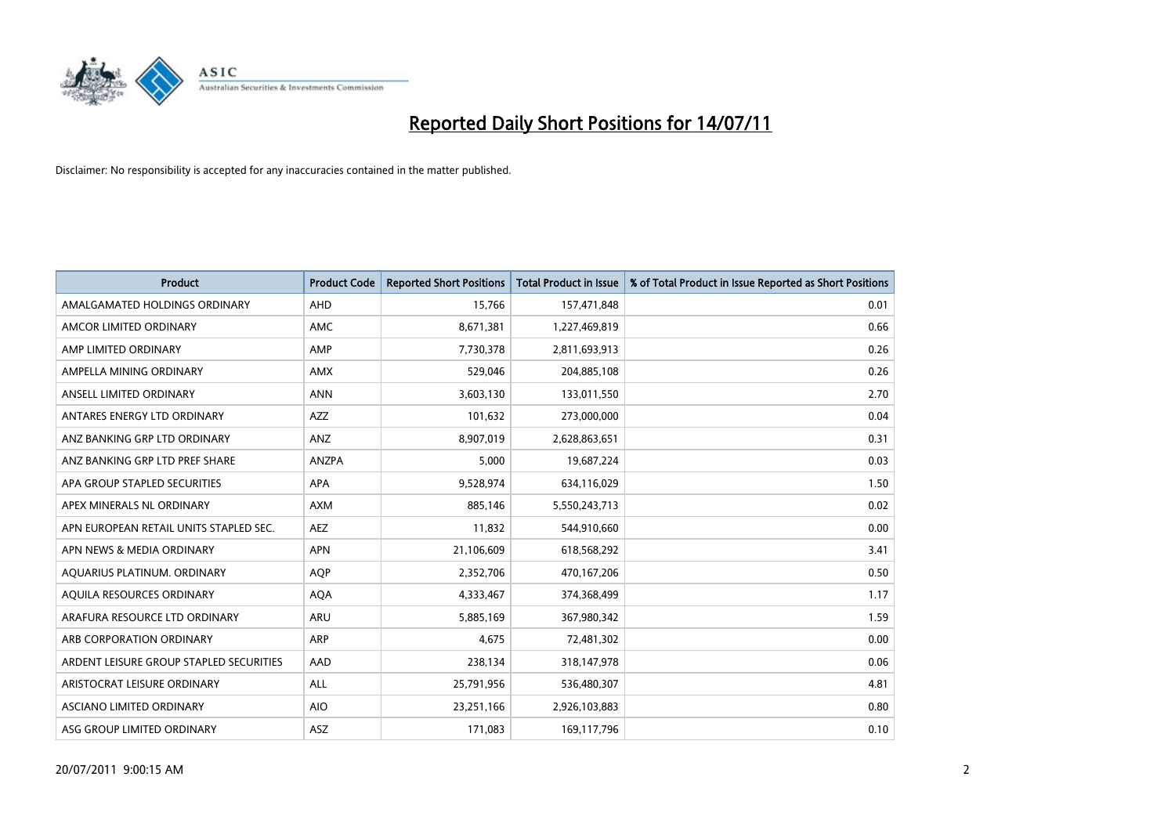

| <b>Product</b>                          | <b>Product Code</b> | <b>Reported Short Positions</b> | <b>Total Product in Issue</b> | % of Total Product in Issue Reported as Short Positions |
|-----------------------------------------|---------------------|---------------------------------|-------------------------------|---------------------------------------------------------|
| AMALGAMATED HOLDINGS ORDINARY           | AHD                 | 15,766                          | 157,471,848                   | 0.01                                                    |
| AMCOR LIMITED ORDINARY                  | <b>AMC</b>          | 8,671,381                       | 1,227,469,819                 | 0.66                                                    |
| AMP LIMITED ORDINARY                    | AMP                 | 7,730,378                       | 2,811,693,913                 | 0.26                                                    |
| AMPELLA MINING ORDINARY                 | <b>AMX</b>          | 529,046                         | 204,885,108                   | 0.26                                                    |
| ANSELL LIMITED ORDINARY                 | <b>ANN</b>          | 3,603,130                       | 133,011,550                   | 2.70                                                    |
| ANTARES ENERGY LTD ORDINARY             | <b>AZZ</b>          | 101,632                         | 273,000,000                   | 0.04                                                    |
| ANZ BANKING GRP LTD ORDINARY            | ANZ                 | 8,907,019                       | 2,628,863,651                 | 0.31                                                    |
| ANZ BANKING GRP LTD PREF SHARE          | ANZPA               | 5,000                           | 19,687,224                    | 0.03                                                    |
| APA GROUP STAPLED SECURITIES            | APA                 | 9,528,974                       | 634,116,029                   | 1.50                                                    |
| APEX MINERALS NL ORDINARY               | <b>AXM</b>          | 885,146                         | 5,550,243,713                 | 0.02                                                    |
| APN EUROPEAN RETAIL UNITS STAPLED SEC.  | <b>AEZ</b>          | 11,832                          | 544,910,660                   | 0.00                                                    |
| APN NEWS & MEDIA ORDINARY               | <b>APN</b>          | 21,106,609                      | 618,568,292                   | 3.41                                                    |
| AQUARIUS PLATINUM. ORDINARY             | <b>AOP</b>          | 2,352,706                       | 470,167,206                   | 0.50                                                    |
| AQUILA RESOURCES ORDINARY               | <b>AQA</b>          | 4,333,467                       | 374,368,499                   | 1.17                                                    |
| ARAFURA RESOURCE LTD ORDINARY           | <b>ARU</b>          | 5,885,169                       | 367,980,342                   | 1.59                                                    |
| ARB CORPORATION ORDINARY                | ARP                 | 4,675                           | 72,481,302                    | 0.00                                                    |
| ARDENT LEISURE GROUP STAPLED SECURITIES | AAD                 | 238,134                         | 318,147,978                   | 0.06                                                    |
| ARISTOCRAT LEISURE ORDINARY             | ALL                 | 25,791,956                      | 536,480,307                   | 4.81                                                    |
| ASCIANO LIMITED ORDINARY                | <b>AIO</b>          | 23,251,166                      | 2,926,103,883                 | 0.80                                                    |
| ASG GROUP LIMITED ORDINARY              | <b>ASZ</b>          | 171,083                         | 169,117,796                   | 0.10                                                    |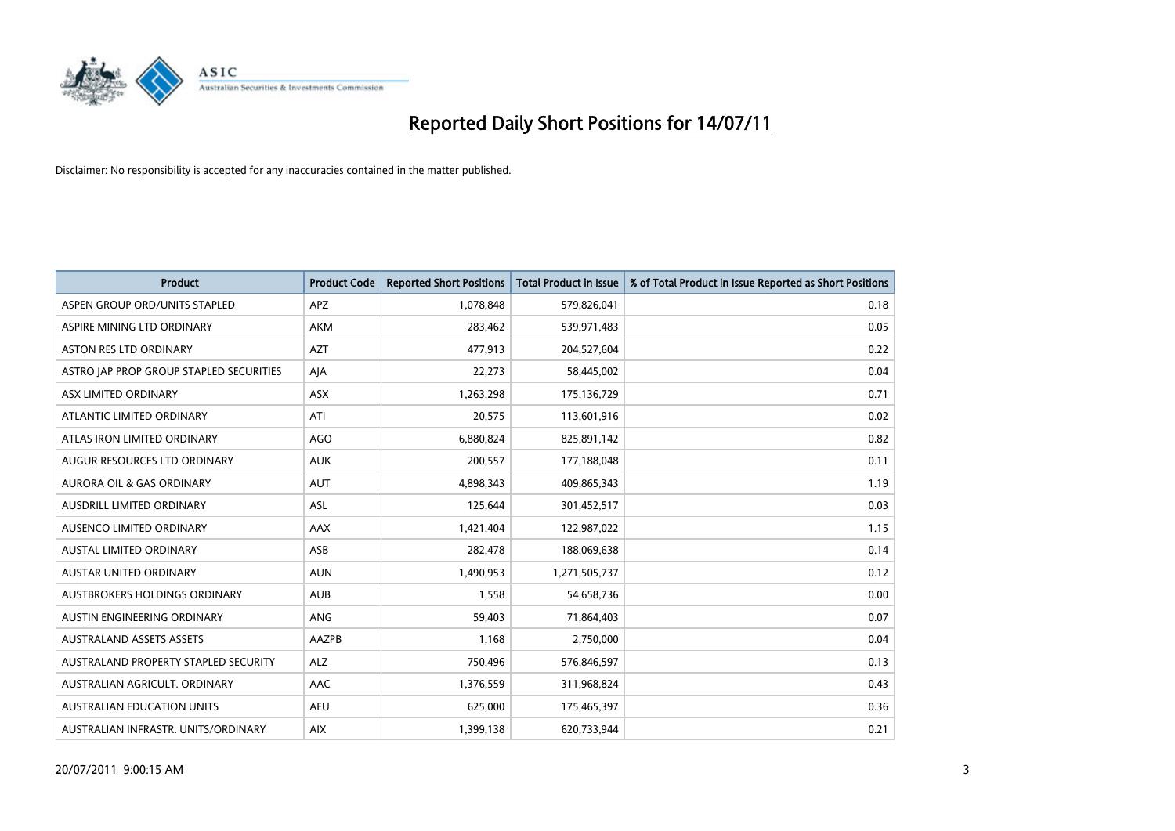

| <b>Product</b>                          | <b>Product Code</b> | <b>Reported Short Positions</b> | <b>Total Product in Issue</b> | % of Total Product in Issue Reported as Short Positions |
|-----------------------------------------|---------------------|---------------------------------|-------------------------------|---------------------------------------------------------|
| ASPEN GROUP ORD/UNITS STAPLED           | <b>APZ</b>          | 1,078,848                       | 579,826,041                   | 0.18                                                    |
| ASPIRE MINING LTD ORDINARY              | <b>AKM</b>          | 283,462                         | 539,971,483                   | 0.05                                                    |
| <b>ASTON RES LTD ORDINARY</b>           | <b>AZT</b>          | 477,913                         | 204,527,604                   | 0.22                                                    |
| ASTRO JAP PROP GROUP STAPLED SECURITIES | AJA                 | 22,273                          | 58,445,002                    | 0.04                                                    |
| ASX LIMITED ORDINARY                    | <b>ASX</b>          | 1,263,298                       | 175,136,729                   | 0.71                                                    |
| ATLANTIC LIMITED ORDINARY               | ATI                 | 20,575                          | 113,601,916                   | 0.02                                                    |
| ATLAS IRON LIMITED ORDINARY             | <b>AGO</b>          | 6,880,824                       | 825,891,142                   | 0.82                                                    |
| AUGUR RESOURCES LTD ORDINARY            | <b>AUK</b>          | 200,557                         | 177,188,048                   | 0.11                                                    |
| <b>AURORA OIL &amp; GAS ORDINARY</b>    | <b>AUT</b>          | 4,898,343                       | 409,865,343                   | 1.19                                                    |
| AUSDRILL LIMITED ORDINARY               | <b>ASL</b>          | 125,644                         | 301,452,517                   | 0.03                                                    |
| AUSENCO LIMITED ORDINARY                | <b>AAX</b>          | 1,421,404                       | 122,987,022                   | 1.15                                                    |
| <b>AUSTAL LIMITED ORDINARY</b>          | ASB                 | 282,478                         | 188,069,638                   | 0.14                                                    |
| <b>AUSTAR UNITED ORDINARY</b>           | <b>AUN</b>          | 1,490,953                       | 1,271,505,737                 | 0.12                                                    |
| AUSTBROKERS HOLDINGS ORDINARY           | <b>AUB</b>          | 1,558                           | 54,658,736                    | 0.00                                                    |
| AUSTIN ENGINEERING ORDINARY             | ANG                 | 59,403                          | 71,864,403                    | 0.07                                                    |
| <b>AUSTRALAND ASSETS ASSETS</b>         | AAZPB               | 1,168                           | 2,750,000                     | 0.04                                                    |
| AUSTRALAND PROPERTY STAPLED SECURITY    | <b>ALZ</b>          | 750,496                         | 576,846,597                   | 0.13                                                    |
| AUSTRALIAN AGRICULT. ORDINARY           | <b>AAC</b>          | 1,376,559                       | 311,968,824                   | 0.43                                                    |
| <b>AUSTRALIAN EDUCATION UNITS</b>       | <b>AEU</b>          | 625,000                         | 175,465,397                   | 0.36                                                    |
| AUSTRALIAN INFRASTR, UNITS/ORDINARY     | <b>AIX</b>          | 1,399,138                       | 620,733,944                   | 0.21                                                    |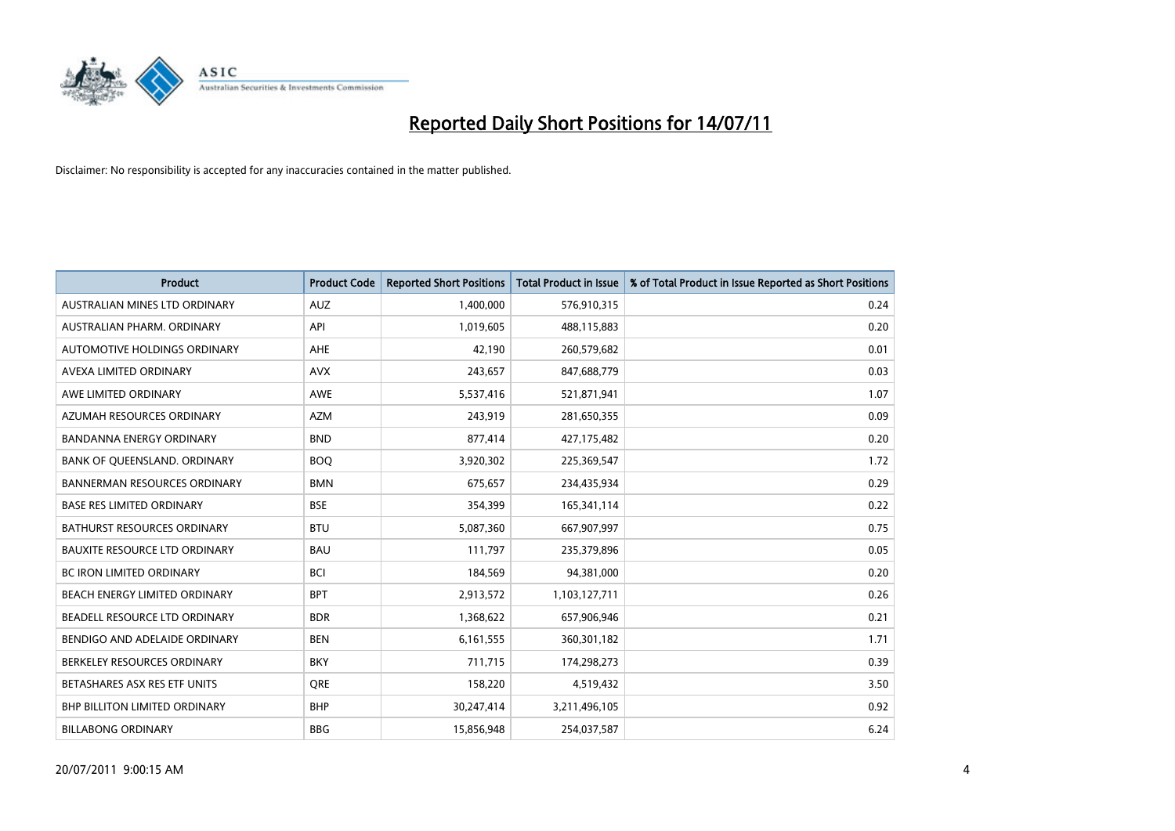

| <b>Product</b>                       | <b>Product Code</b> | <b>Reported Short Positions</b> | Total Product in Issue | % of Total Product in Issue Reported as Short Positions |
|--------------------------------------|---------------------|---------------------------------|------------------------|---------------------------------------------------------|
| AUSTRALIAN MINES LTD ORDINARY        | <b>AUZ</b>          | 1,400,000                       | 576,910,315            | 0.24                                                    |
| AUSTRALIAN PHARM. ORDINARY           | API                 | 1,019,605                       | 488,115,883            | 0.20                                                    |
| AUTOMOTIVE HOLDINGS ORDINARY         | AHE                 | 42,190                          | 260,579,682            | 0.01                                                    |
| AVEXA LIMITED ORDINARY               | <b>AVX</b>          | 243,657                         | 847,688,779            | 0.03                                                    |
| AWE LIMITED ORDINARY                 | <b>AWE</b>          | 5,537,416                       | 521,871,941            | 1.07                                                    |
| AZUMAH RESOURCES ORDINARY            | <b>AZM</b>          | 243,919                         | 281,650,355            | 0.09                                                    |
| <b>BANDANNA ENERGY ORDINARY</b>      | <b>BND</b>          | 877,414                         | 427,175,482            | 0.20                                                    |
| BANK OF QUEENSLAND. ORDINARY         | <b>BOO</b>          | 3,920,302                       | 225,369,547            | 1.72                                                    |
| <b>BANNERMAN RESOURCES ORDINARY</b>  | <b>BMN</b>          | 675,657                         | 234,435,934            | 0.29                                                    |
| <b>BASE RES LIMITED ORDINARY</b>     | <b>BSE</b>          | 354,399                         | 165,341,114            | 0.22                                                    |
| BATHURST RESOURCES ORDINARY          | <b>BTU</b>          | 5,087,360                       | 667,907,997            | 0.75                                                    |
| <b>BAUXITE RESOURCE LTD ORDINARY</b> | <b>BAU</b>          | 111,797                         | 235,379,896            | 0.05                                                    |
| BC IRON LIMITED ORDINARY             | <b>BCI</b>          | 184,569                         | 94,381,000             | 0.20                                                    |
| <b>BEACH ENERGY LIMITED ORDINARY</b> | <b>BPT</b>          | 2,913,572                       | 1,103,127,711          | 0.26                                                    |
| BEADELL RESOURCE LTD ORDINARY        | <b>BDR</b>          | 1,368,622                       | 657,906,946            | 0.21                                                    |
| BENDIGO AND ADELAIDE ORDINARY        | <b>BEN</b>          | 6,161,555                       | 360,301,182            | 1.71                                                    |
| BERKELEY RESOURCES ORDINARY          | <b>BKY</b>          | 711,715                         | 174,298,273            | 0.39                                                    |
| BETASHARES ASX RES ETF UNITS         | <b>ORE</b>          | 158,220                         | 4,519,432              | 3.50                                                    |
| <b>BHP BILLITON LIMITED ORDINARY</b> | <b>BHP</b>          | 30,247,414                      | 3,211,496,105          | 0.92                                                    |
| <b>BILLABONG ORDINARY</b>            | <b>BBG</b>          | 15,856,948                      | 254,037,587            | 6.24                                                    |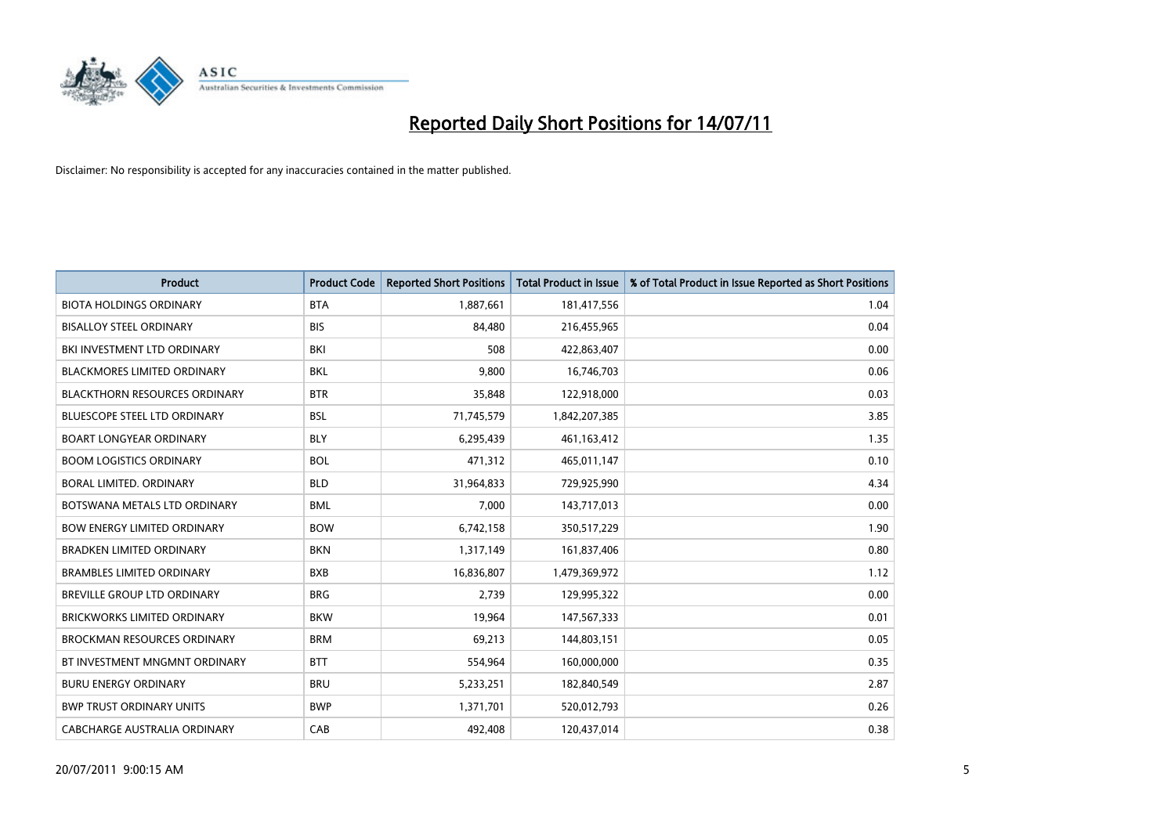

| <b>Product</b>                       | <b>Product Code</b> | <b>Reported Short Positions</b> | <b>Total Product in Issue</b> | % of Total Product in Issue Reported as Short Positions |
|--------------------------------------|---------------------|---------------------------------|-------------------------------|---------------------------------------------------------|
| <b>BIOTA HOLDINGS ORDINARY</b>       | <b>BTA</b>          | 1,887,661                       | 181,417,556                   | 1.04                                                    |
| <b>BISALLOY STEEL ORDINARY</b>       | <b>BIS</b>          | 84,480                          | 216,455,965                   | 0.04                                                    |
| BKI INVESTMENT LTD ORDINARY          | <b>BKI</b>          | 508                             | 422,863,407                   | 0.00                                                    |
| <b>BLACKMORES LIMITED ORDINARY</b>   | <b>BKL</b>          | 9,800                           | 16,746,703                    | 0.06                                                    |
| <b>BLACKTHORN RESOURCES ORDINARY</b> | <b>BTR</b>          | 35,848                          | 122,918,000                   | 0.03                                                    |
| <b>BLUESCOPE STEEL LTD ORDINARY</b>  | <b>BSL</b>          | 71,745,579                      | 1,842,207,385                 | 3.85                                                    |
| <b>BOART LONGYEAR ORDINARY</b>       | <b>BLY</b>          | 6,295,439                       | 461,163,412                   | 1.35                                                    |
| <b>BOOM LOGISTICS ORDINARY</b>       | <b>BOL</b>          | 471,312                         | 465,011,147                   | 0.10                                                    |
| BORAL LIMITED. ORDINARY              | <b>BLD</b>          | 31,964,833                      | 729,925,990                   | 4.34                                                    |
| BOTSWANA METALS LTD ORDINARY         | <b>BML</b>          | 7,000                           | 143,717,013                   | 0.00                                                    |
| <b>BOW ENERGY LIMITED ORDINARY</b>   | <b>BOW</b>          | 6,742,158                       | 350,517,229                   | 1.90                                                    |
| <b>BRADKEN LIMITED ORDINARY</b>      | <b>BKN</b>          | 1,317,149                       | 161,837,406                   | 0.80                                                    |
| <b>BRAMBLES LIMITED ORDINARY</b>     | <b>BXB</b>          | 16,836,807                      | 1,479,369,972                 | 1.12                                                    |
| BREVILLE GROUP LTD ORDINARY          | <b>BRG</b>          | 2,739                           | 129,995,322                   | 0.00                                                    |
| <b>BRICKWORKS LIMITED ORDINARY</b>   | <b>BKW</b>          | 19,964                          | 147,567,333                   | 0.01                                                    |
| <b>BROCKMAN RESOURCES ORDINARY</b>   | <b>BRM</b>          | 69,213                          | 144,803,151                   | 0.05                                                    |
| BT INVESTMENT MNGMNT ORDINARY        | <b>BTT</b>          | 554,964                         | 160,000,000                   | 0.35                                                    |
| <b>BURU ENERGY ORDINARY</b>          | <b>BRU</b>          | 5,233,251                       | 182,840,549                   | 2.87                                                    |
| <b>BWP TRUST ORDINARY UNITS</b>      | <b>BWP</b>          | 1,371,701                       | 520,012,793                   | 0.26                                                    |
| CABCHARGE AUSTRALIA ORDINARY         | CAB                 | 492,408                         | 120,437,014                   | 0.38                                                    |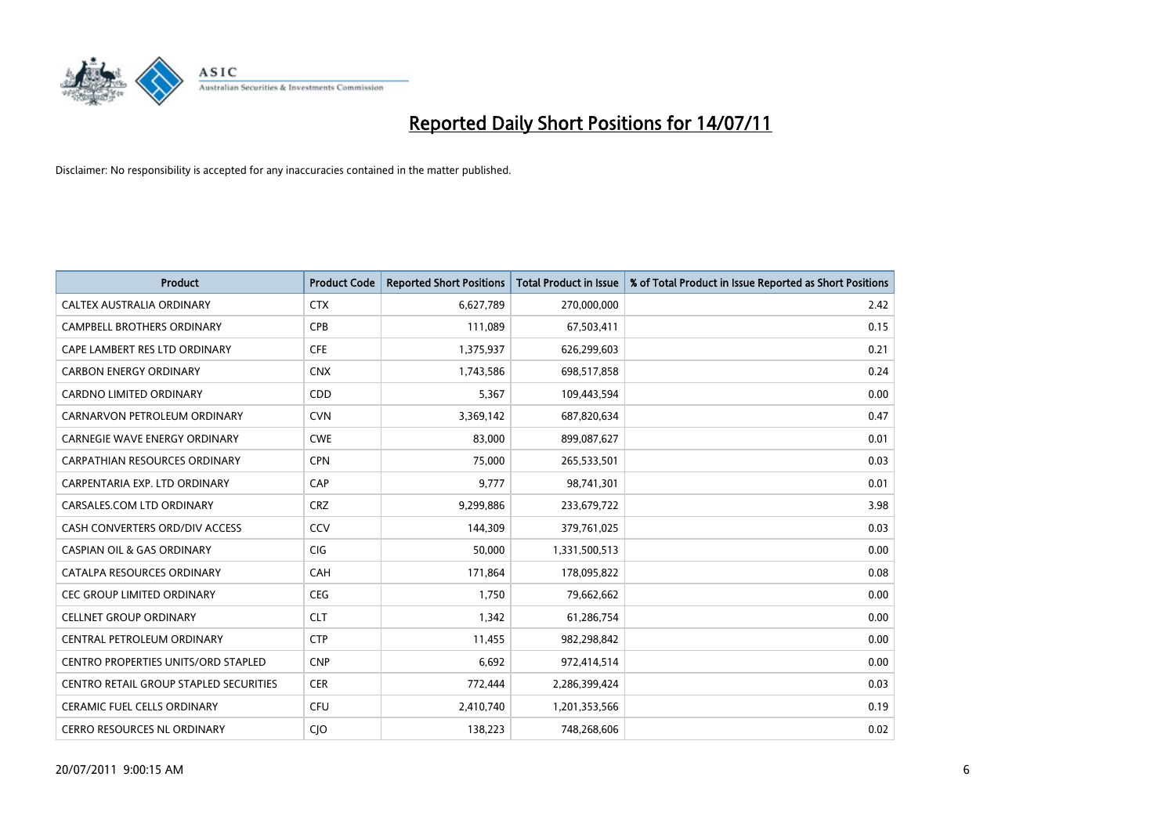

| <b>Product</b>                         | <b>Product Code</b> | <b>Reported Short Positions</b> | Total Product in Issue | % of Total Product in Issue Reported as Short Positions |
|----------------------------------------|---------------------|---------------------------------|------------------------|---------------------------------------------------------|
| CALTEX AUSTRALIA ORDINARY              | <b>CTX</b>          | 6,627,789                       | 270,000,000            | 2.42                                                    |
| CAMPBELL BROTHERS ORDINARY             | <b>CPB</b>          | 111,089                         | 67,503,411             | 0.15                                                    |
| CAPE LAMBERT RES LTD ORDINARY          | <b>CFE</b>          | 1,375,937                       | 626,299,603            | 0.21                                                    |
| <b>CARBON ENERGY ORDINARY</b>          | <b>CNX</b>          | 1,743,586                       | 698,517,858            | 0.24                                                    |
| <b>CARDNO LIMITED ORDINARY</b>         | CDD                 | 5,367                           | 109,443,594            | 0.00                                                    |
| CARNARVON PETROLEUM ORDINARY           | <b>CVN</b>          | 3,369,142                       | 687,820,634            | 0.47                                                    |
| <b>CARNEGIE WAVE ENERGY ORDINARY</b>   | <b>CWE</b>          | 83,000                          | 899,087,627            | 0.01                                                    |
| CARPATHIAN RESOURCES ORDINARY          | <b>CPN</b>          | 75,000                          | 265,533,501            | 0.03                                                    |
| CARPENTARIA EXP. LTD ORDINARY          | CAP                 | 9,777                           | 98,741,301             | 0.01                                                    |
| CARSALES.COM LTD ORDINARY              | <b>CRZ</b>          | 9,299,886                       | 233,679,722            | 3.98                                                    |
| CASH CONVERTERS ORD/DIV ACCESS         | CCV                 | 144,309                         | 379,761,025            | 0.03                                                    |
| <b>CASPIAN OIL &amp; GAS ORDINARY</b>  | <b>CIG</b>          | 50,000                          | 1,331,500,513          | 0.00                                                    |
| CATALPA RESOURCES ORDINARY             | CAH                 | 171,864                         | 178,095,822            | 0.08                                                    |
| <b>CEC GROUP LIMITED ORDINARY</b>      | <b>CEG</b>          | 1,750                           | 79,662,662             | 0.00                                                    |
| <b>CELLNET GROUP ORDINARY</b>          | <b>CLT</b>          | 1,342                           | 61,286,754             | 0.00                                                    |
| CENTRAL PETROLEUM ORDINARY             | <b>CTP</b>          | 11,455                          | 982,298,842            | 0.00                                                    |
| CENTRO PROPERTIES UNITS/ORD STAPLED    | <b>CNP</b>          | 6,692                           | 972,414,514            | 0.00                                                    |
| CENTRO RETAIL GROUP STAPLED SECURITIES | <b>CER</b>          | 772,444                         | 2,286,399,424          | 0.03                                                    |
| <b>CERAMIC FUEL CELLS ORDINARY</b>     | CFU                 | 2,410,740                       | 1,201,353,566          | 0.19                                                    |
| CERRO RESOURCES NL ORDINARY            | <b>CIO</b>          | 138,223                         | 748,268,606            | 0.02                                                    |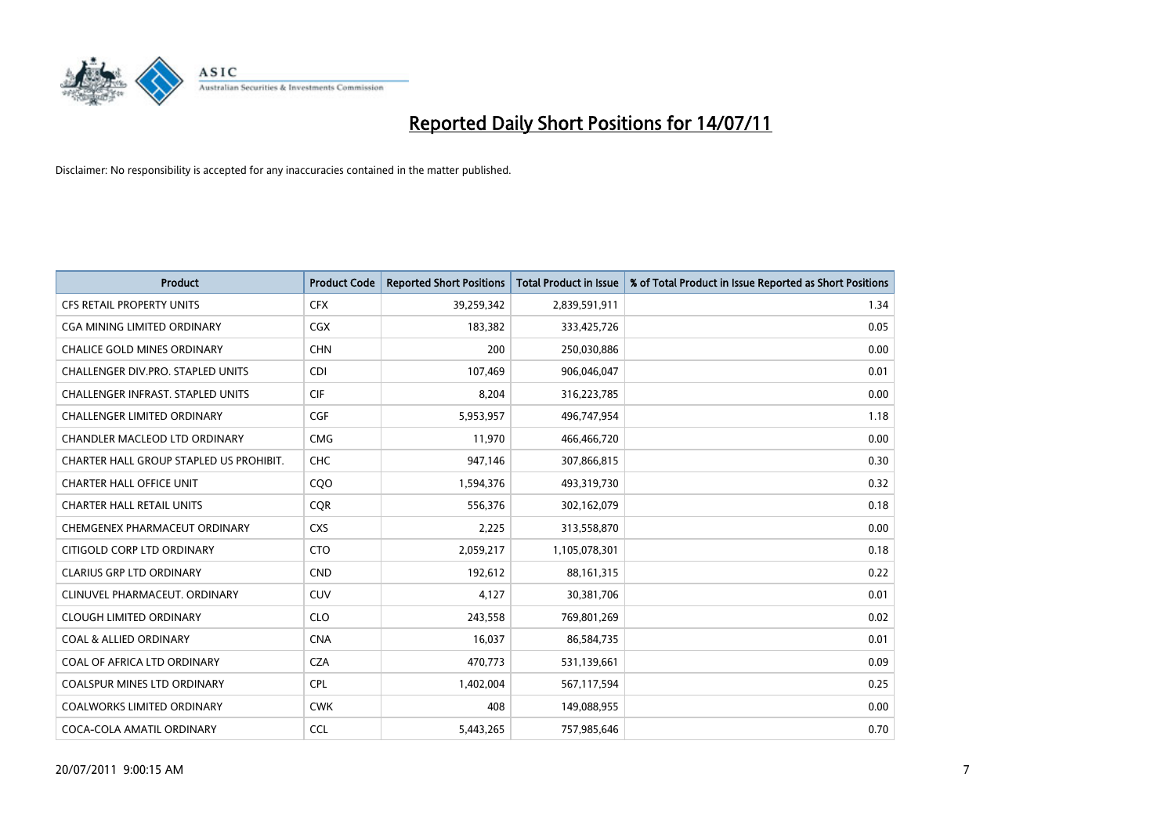

| <b>Product</b>                          | <b>Product Code</b> | <b>Reported Short Positions</b> | <b>Total Product in Issue</b> | % of Total Product in Issue Reported as Short Positions |
|-----------------------------------------|---------------------|---------------------------------|-------------------------------|---------------------------------------------------------|
| <b>CFS RETAIL PROPERTY UNITS</b>        | <b>CFX</b>          | 39,259,342                      | 2,839,591,911                 | 1.34                                                    |
| CGA MINING LIMITED ORDINARY             | CGX                 | 183,382                         | 333,425,726                   | 0.05                                                    |
| <b>CHALICE GOLD MINES ORDINARY</b>      | <b>CHN</b>          | 200                             | 250,030,886                   | 0.00                                                    |
| CHALLENGER DIV.PRO. STAPLED UNITS       | <b>CDI</b>          | 107,469                         | 906,046,047                   | 0.01                                                    |
| CHALLENGER INFRAST. STAPLED UNITS       | <b>CIF</b>          | 8,204                           | 316,223,785                   | 0.00                                                    |
| <b>CHALLENGER LIMITED ORDINARY</b>      | CGF                 | 5,953,957                       | 496,747,954                   | 1.18                                                    |
| <b>CHANDLER MACLEOD LTD ORDINARY</b>    | <b>CMG</b>          | 11.970                          | 466,466,720                   | 0.00                                                    |
| CHARTER HALL GROUP STAPLED US PROHIBIT. | CHC                 | 947,146                         | 307,866,815                   | 0.30                                                    |
| <b>CHARTER HALL OFFICE UNIT</b>         | COO                 | 1,594,376                       | 493,319,730                   | 0.32                                                    |
| <b>CHARTER HALL RETAIL UNITS</b>        | <b>COR</b>          | 556,376                         | 302,162,079                   | 0.18                                                    |
| CHEMGENEX PHARMACEUT ORDINARY           | <b>CXS</b>          | 2,225                           | 313,558,870                   | 0.00                                                    |
| CITIGOLD CORP LTD ORDINARY              | <b>CTO</b>          | 2,059,217                       | 1,105,078,301                 | 0.18                                                    |
| <b>CLARIUS GRP LTD ORDINARY</b>         | <b>CND</b>          | 192,612                         | 88,161,315                    | 0.22                                                    |
| CLINUVEL PHARMACEUT, ORDINARY           | <b>CUV</b>          | 4,127                           | 30,381,706                    | 0.01                                                    |
| <b>CLOUGH LIMITED ORDINARY</b>          | <b>CLO</b>          | 243,558                         | 769,801,269                   | 0.02                                                    |
| <b>COAL &amp; ALLIED ORDINARY</b>       | <b>CNA</b>          | 16,037                          | 86,584,735                    | 0.01                                                    |
| COAL OF AFRICA LTD ORDINARY             | <b>CZA</b>          | 470,773                         | 531,139,661                   | 0.09                                                    |
| COALSPUR MINES LTD ORDINARY             | <b>CPL</b>          | 1,402,004                       | 567,117,594                   | 0.25                                                    |
| <b>COALWORKS LIMITED ORDINARY</b>       | <b>CWK</b>          | 408                             | 149,088,955                   | 0.00                                                    |
| COCA-COLA AMATIL ORDINARY               | <b>CCL</b>          | 5,443,265                       | 757,985,646                   | 0.70                                                    |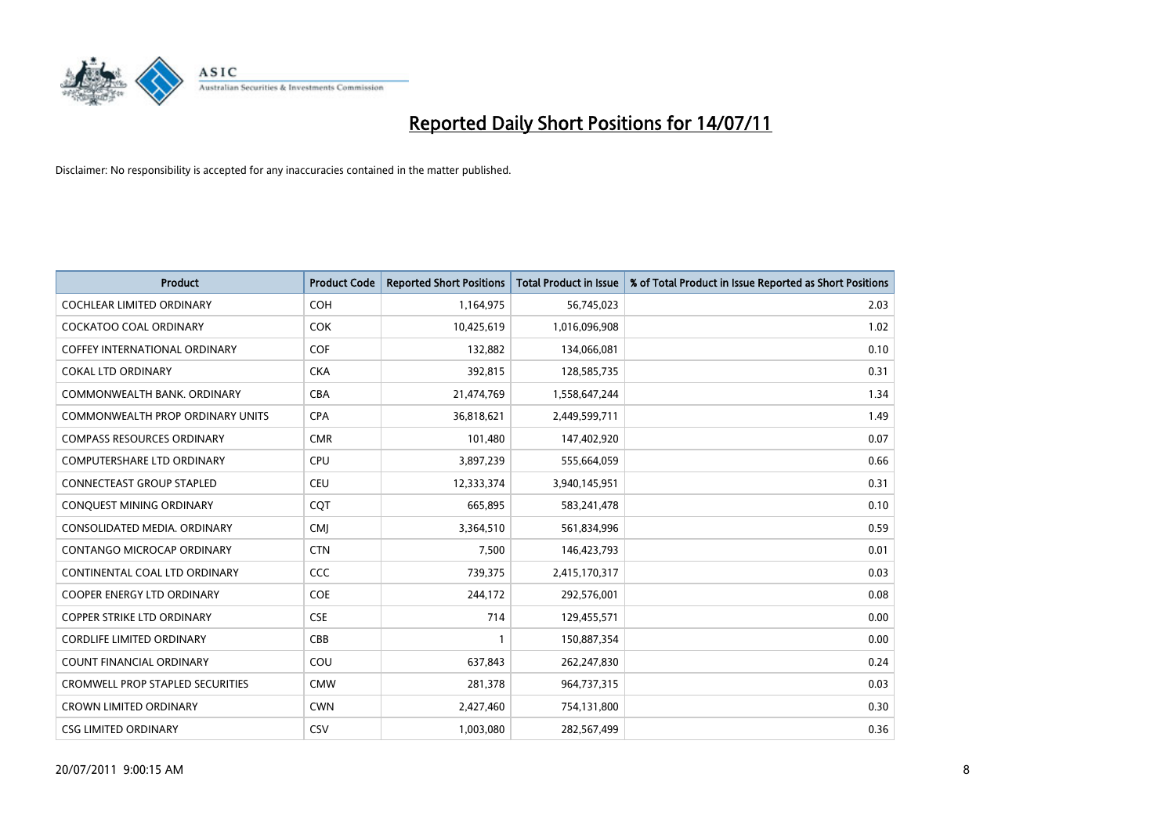

| <b>Product</b>                          | <b>Product Code</b> | <b>Reported Short Positions</b> | Total Product in Issue | % of Total Product in Issue Reported as Short Positions |
|-----------------------------------------|---------------------|---------------------------------|------------------------|---------------------------------------------------------|
| <b>COCHLEAR LIMITED ORDINARY</b>        | COH                 | 1,164,975                       | 56,745,023             | 2.03                                                    |
| <b>COCKATOO COAL ORDINARY</b>           | <b>COK</b>          | 10,425,619                      | 1,016,096,908          | 1.02                                                    |
| <b>COFFEY INTERNATIONAL ORDINARY</b>    | <b>COF</b>          | 132,882                         | 134,066,081            | 0.10                                                    |
| <b>COKAL LTD ORDINARY</b>               | <b>CKA</b>          | 392,815                         | 128,585,735            | 0.31                                                    |
| COMMONWEALTH BANK, ORDINARY             | <b>CBA</b>          | 21,474,769                      | 1,558,647,244          | 1.34                                                    |
| COMMONWEALTH PROP ORDINARY UNITS        | <b>CPA</b>          | 36,818,621                      | 2,449,599,711          | 1.49                                                    |
| <b>COMPASS RESOURCES ORDINARY</b>       | <b>CMR</b>          | 101,480                         | 147,402,920            | 0.07                                                    |
| <b>COMPUTERSHARE LTD ORDINARY</b>       | <b>CPU</b>          | 3,897,239                       | 555,664,059            | 0.66                                                    |
| CONNECTEAST GROUP STAPLED               | CEU                 | 12,333,374                      | 3,940,145,951          | 0.31                                                    |
| <b>CONOUEST MINING ORDINARY</b>         | COT                 | 665,895                         | 583,241,478            | 0.10                                                    |
| CONSOLIDATED MEDIA, ORDINARY            | <b>CMJ</b>          | 3,364,510                       | 561,834,996            | 0.59                                                    |
| CONTANGO MICROCAP ORDINARY              | <b>CTN</b>          | 7,500                           | 146,423,793            | 0.01                                                    |
| CONTINENTAL COAL LTD ORDINARY           | CCC                 | 739,375                         | 2,415,170,317          | 0.03                                                    |
| <b>COOPER ENERGY LTD ORDINARY</b>       | <b>COE</b>          | 244,172                         | 292,576,001            | 0.08                                                    |
| <b>COPPER STRIKE LTD ORDINARY</b>       | <b>CSE</b>          | 714                             | 129,455,571            | 0.00                                                    |
| <b>CORDLIFE LIMITED ORDINARY</b>        | CBB                 |                                 | 150,887,354            | 0.00                                                    |
| <b>COUNT FINANCIAL ORDINARY</b>         | COU                 | 637,843                         | 262,247,830            | 0.24                                                    |
| <b>CROMWELL PROP STAPLED SECURITIES</b> | <b>CMW</b>          | 281,378                         | 964,737,315            | 0.03                                                    |
| <b>CROWN LIMITED ORDINARY</b>           | <b>CWN</b>          | 2,427,460                       | 754,131,800            | 0.30                                                    |
| <b>CSG LIMITED ORDINARY</b>             | CSV                 | 1,003,080                       | 282,567,499            | 0.36                                                    |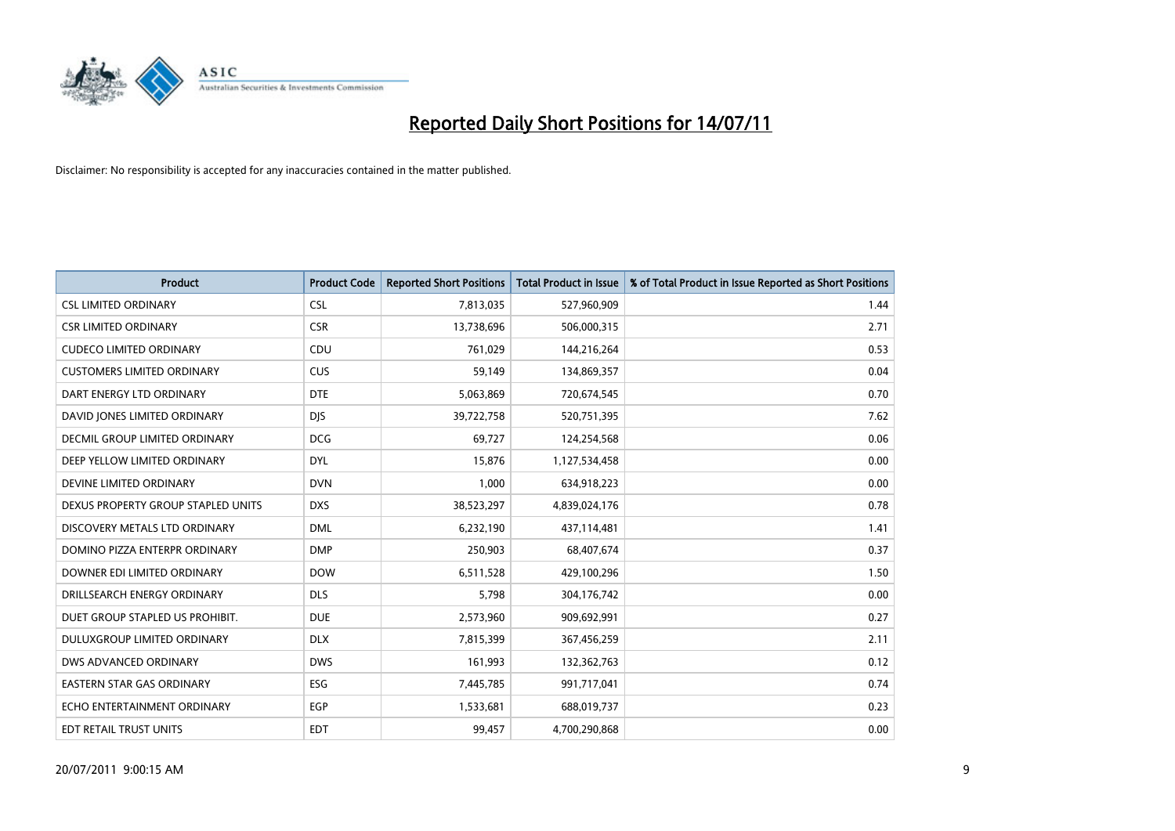

| <b>Product</b>                     | <b>Product Code</b> | <b>Reported Short Positions</b> | Total Product in Issue | % of Total Product in Issue Reported as Short Positions |
|------------------------------------|---------------------|---------------------------------|------------------------|---------------------------------------------------------|
| <b>CSL LIMITED ORDINARY</b>        | <b>CSL</b>          | 7,813,035                       | 527,960,909            | 1.44                                                    |
| <b>CSR LIMITED ORDINARY</b>        | <b>CSR</b>          | 13,738,696                      | 506,000,315            | 2.71                                                    |
| <b>CUDECO LIMITED ORDINARY</b>     | CDU                 | 761,029                         | 144,216,264            | 0.53                                                    |
| <b>CUSTOMERS LIMITED ORDINARY</b>  | CUS                 | 59,149                          | 134,869,357            | 0.04                                                    |
| DART ENERGY LTD ORDINARY           | <b>DTE</b>          | 5,063,869                       | 720,674,545            | 0.70                                                    |
| DAVID JONES LIMITED ORDINARY       | <b>DJS</b>          | 39,722,758                      | 520,751,395            | 7.62                                                    |
| DECMIL GROUP LIMITED ORDINARY      | <b>DCG</b>          | 69,727                          | 124,254,568            | 0.06                                                    |
| DEEP YELLOW LIMITED ORDINARY       | <b>DYL</b>          | 15,876                          | 1,127,534,458          | 0.00                                                    |
| DEVINE LIMITED ORDINARY            | <b>DVN</b>          | 1,000                           | 634,918,223            | 0.00                                                    |
| DEXUS PROPERTY GROUP STAPLED UNITS | <b>DXS</b>          | 38,523,297                      | 4,839,024,176          | 0.78                                                    |
| DISCOVERY METALS LTD ORDINARY      | <b>DML</b>          | 6,232,190                       | 437,114,481            | 1.41                                                    |
| DOMINO PIZZA ENTERPR ORDINARY      | <b>DMP</b>          | 250,903                         | 68,407,674             | 0.37                                                    |
| DOWNER EDI LIMITED ORDINARY        | <b>DOW</b>          | 6,511,528                       | 429,100,296            | 1.50                                                    |
| DRILLSEARCH ENERGY ORDINARY        | <b>DLS</b>          | 5,798                           | 304,176,742            | 0.00                                                    |
| DUET GROUP STAPLED US PROHIBIT.    | <b>DUE</b>          | 2,573,960                       | 909,692,991            | 0.27                                                    |
| DULUXGROUP LIMITED ORDINARY        | <b>DLX</b>          | 7,815,399                       | 367,456,259            | 2.11                                                    |
| DWS ADVANCED ORDINARY              | <b>DWS</b>          | 161,993                         | 132,362,763            | 0.12                                                    |
| EASTERN STAR GAS ORDINARY          | ESG                 | 7,445,785                       | 991,717,041            | 0.74                                                    |
| ECHO ENTERTAINMENT ORDINARY        | <b>EGP</b>          | 1,533,681                       | 688,019,737            | 0.23                                                    |
| <b>EDT RETAIL TRUST UNITS</b>      | <b>EDT</b>          | 99,457                          | 4,700,290,868          | 0.00                                                    |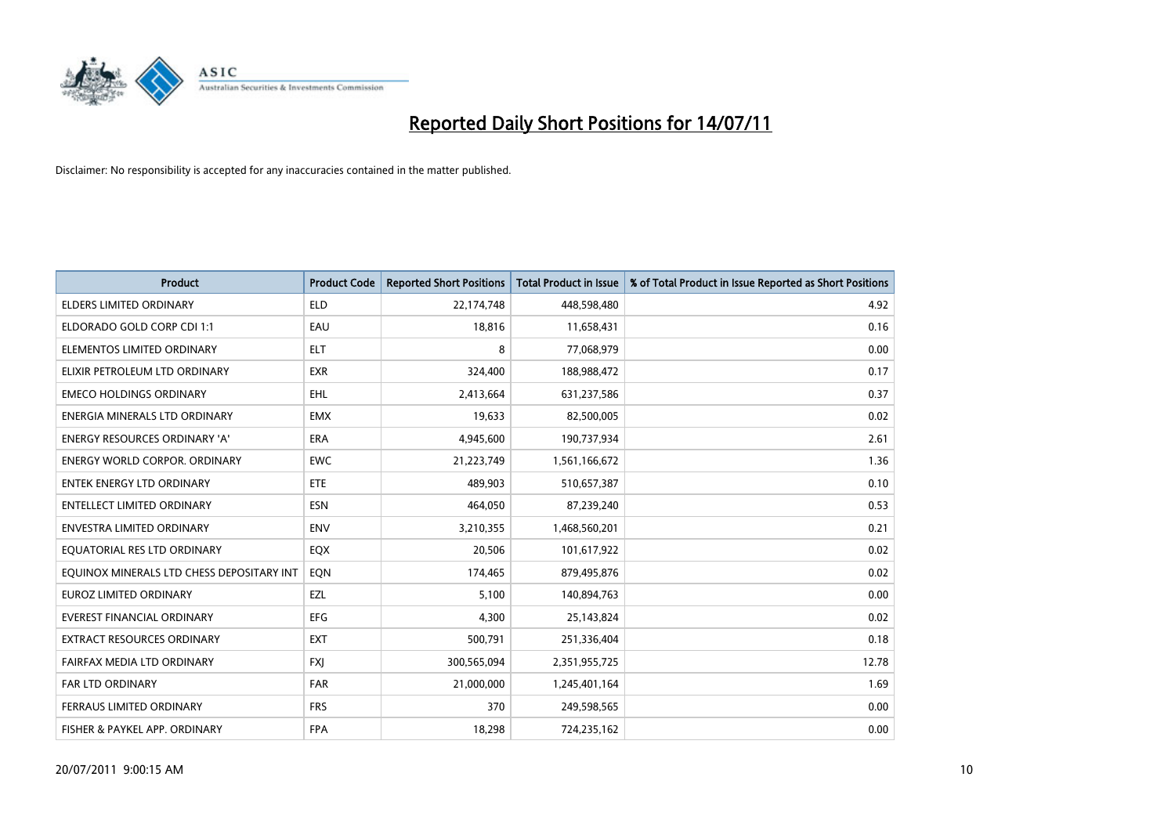

| <b>Product</b>                            | <b>Product Code</b> | <b>Reported Short Positions</b> | Total Product in Issue | % of Total Product in Issue Reported as Short Positions |
|-------------------------------------------|---------------------|---------------------------------|------------------------|---------------------------------------------------------|
| <b>ELDERS LIMITED ORDINARY</b>            | <b>ELD</b>          | 22,174,748                      | 448,598,480            | 4.92                                                    |
| ELDORADO GOLD CORP CDI 1:1                | EAU                 | 18,816                          | 11,658,431             | 0.16                                                    |
| ELEMENTOS LIMITED ORDINARY                | <b>ELT</b>          | 8                               | 77,068,979             | 0.00                                                    |
| ELIXIR PETROLEUM LTD ORDINARY             | <b>EXR</b>          | 324,400                         | 188,988,472            | 0.17                                                    |
| <b>EMECO HOLDINGS ORDINARY</b>            | <b>EHL</b>          | 2,413,664                       | 631,237,586            | 0.37                                                    |
| ENERGIA MINERALS LTD ORDINARY             | <b>EMX</b>          | 19,633                          | 82,500,005             | 0.02                                                    |
| ENERGY RESOURCES ORDINARY 'A'             | <b>ERA</b>          | 4,945,600                       | 190,737,934            | 2.61                                                    |
| <b>ENERGY WORLD CORPOR. ORDINARY</b>      | <b>EWC</b>          | 21,223,749                      | 1,561,166,672          | 1.36                                                    |
| <b>ENTEK ENERGY LTD ORDINARY</b>          | ETE                 | 489.903                         | 510,657,387            | 0.10                                                    |
| <b>ENTELLECT LIMITED ORDINARY</b>         | <b>ESN</b>          | 464,050                         | 87,239,240             | 0.53                                                    |
| ENVESTRA LIMITED ORDINARY                 | <b>ENV</b>          | 3,210,355                       | 1,468,560,201          | 0.21                                                    |
| EQUATORIAL RES LTD ORDINARY               | EQX                 | 20,506                          | 101,617,922            | 0.02                                                    |
| EQUINOX MINERALS LTD CHESS DEPOSITARY INT | EON                 | 174,465                         | 879,495,876            | 0.02                                                    |
| <b>EUROZ LIMITED ORDINARY</b>             | EZL                 | 5,100                           | 140,894,763            | 0.00                                                    |
| <b>EVEREST FINANCIAL ORDINARY</b>         | <b>EFG</b>          | 4,300                           | 25,143,824             | 0.02                                                    |
| <b>EXTRACT RESOURCES ORDINARY</b>         | <b>EXT</b>          | 500,791                         | 251,336,404            | 0.18                                                    |
| FAIRFAX MEDIA LTD ORDINARY                | <b>FXI</b>          | 300,565,094                     | 2,351,955,725          | 12.78                                                   |
| FAR LTD ORDINARY                          | <b>FAR</b>          | 21,000,000                      | 1,245,401,164          | 1.69                                                    |
| FERRAUS LIMITED ORDINARY                  | <b>FRS</b>          | 370                             | 249,598,565            | 0.00                                                    |
| FISHER & PAYKEL APP. ORDINARY             | <b>FPA</b>          | 18,298                          | 724,235,162            | 0.00                                                    |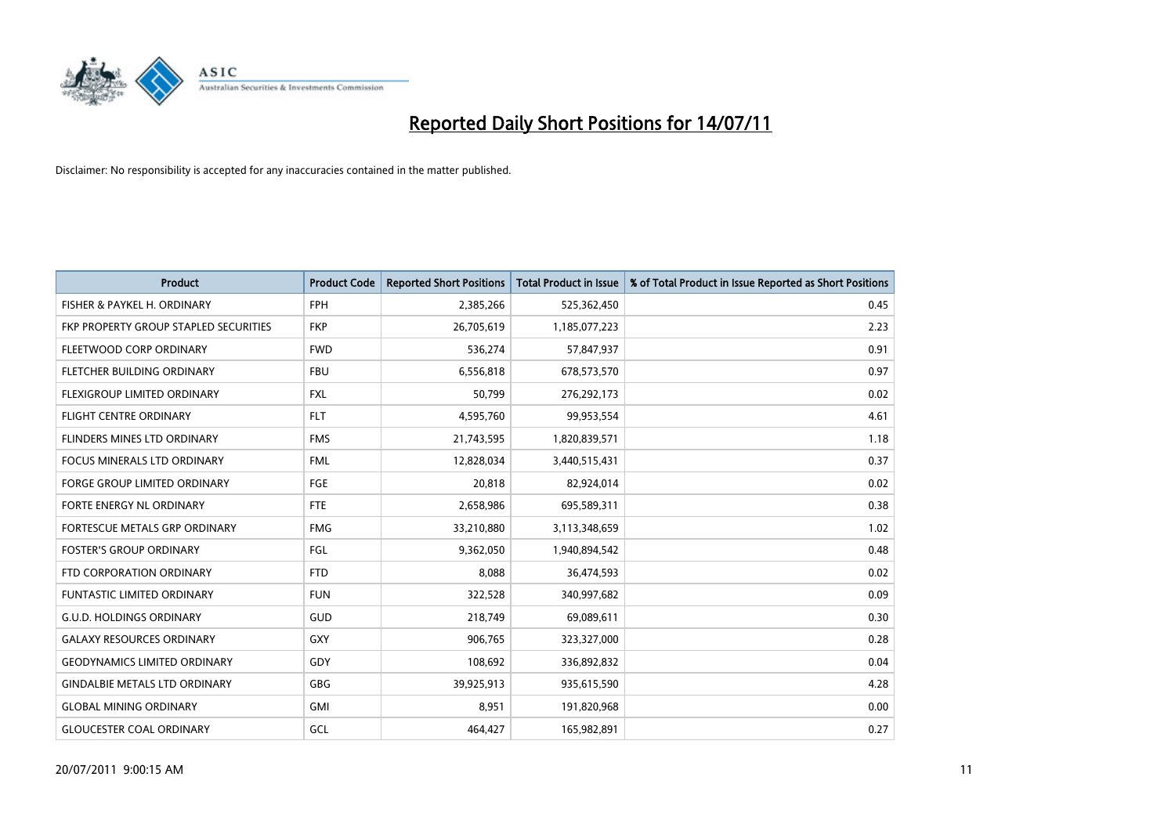

| <b>Product</b>                        | <b>Product Code</b> | <b>Reported Short Positions</b> | Total Product in Issue | % of Total Product in Issue Reported as Short Positions |
|---------------------------------------|---------------------|---------------------------------|------------------------|---------------------------------------------------------|
| FISHER & PAYKEL H. ORDINARY           | <b>FPH</b>          | 2,385,266                       | 525,362,450            | 0.45                                                    |
| FKP PROPERTY GROUP STAPLED SECURITIES | <b>FKP</b>          | 26,705,619                      | 1,185,077,223          | 2.23                                                    |
| FLEETWOOD CORP ORDINARY               | <b>FWD</b>          | 536,274                         | 57,847,937             | 0.91                                                    |
| FLETCHER BUILDING ORDINARY            | <b>FBU</b>          | 6,556,818                       | 678,573,570            | 0.97                                                    |
| FLEXIGROUP LIMITED ORDINARY           | <b>FXL</b>          | 50,799                          | 276,292,173            | 0.02                                                    |
| <b>FLIGHT CENTRE ORDINARY</b>         | <b>FLT</b>          | 4,595,760                       | 99,953,554             | 4.61                                                    |
| FLINDERS MINES LTD ORDINARY           | <b>FMS</b>          | 21,743,595                      | 1,820,839,571          | 1.18                                                    |
| <b>FOCUS MINERALS LTD ORDINARY</b>    | <b>FML</b>          | 12,828,034                      | 3,440,515,431          | 0.37                                                    |
| FORGE GROUP LIMITED ORDINARY          | FGE                 | 20,818                          | 82,924,014             | 0.02                                                    |
| FORTE ENERGY NL ORDINARY              | <b>FTE</b>          | 2,658,986                       | 695,589,311            | 0.38                                                    |
| FORTESCUE METALS GRP ORDINARY         | <b>FMG</b>          | 33,210,880                      | 3,113,348,659          | 1.02                                                    |
| <b>FOSTER'S GROUP ORDINARY</b>        | FGL                 | 9,362,050                       | 1,940,894,542          | 0.48                                                    |
| FTD CORPORATION ORDINARY              | <b>FTD</b>          | 8,088                           | 36,474,593             | 0.02                                                    |
| <b>FUNTASTIC LIMITED ORDINARY</b>     | <b>FUN</b>          | 322,528                         | 340,997,682            | 0.09                                                    |
| <b>G.U.D. HOLDINGS ORDINARY</b>       | <b>GUD</b>          | 218,749                         | 69,089,611             | 0.30                                                    |
| <b>GALAXY RESOURCES ORDINARY</b>      | GXY                 | 906,765                         | 323,327,000            | 0.28                                                    |
| <b>GEODYNAMICS LIMITED ORDINARY</b>   | GDY                 | 108,692                         | 336,892,832            | 0.04                                                    |
| <b>GINDALBIE METALS LTD ORDINARY</b>  | <b>GBG</b>          | 39,925,913                      | 935,615,590            | 4.28                                                    |
| <b>GLOBAL MINING ORDINARY</b>         | <b>GMI</b>          | 8,951                           | 191,820,968            | 0.00                                                    |
| <b>GLOUCESTER COAL ORDINARY</b>       | GCL                 | 464,427                         | 165,982,891            | 0.27                                                    |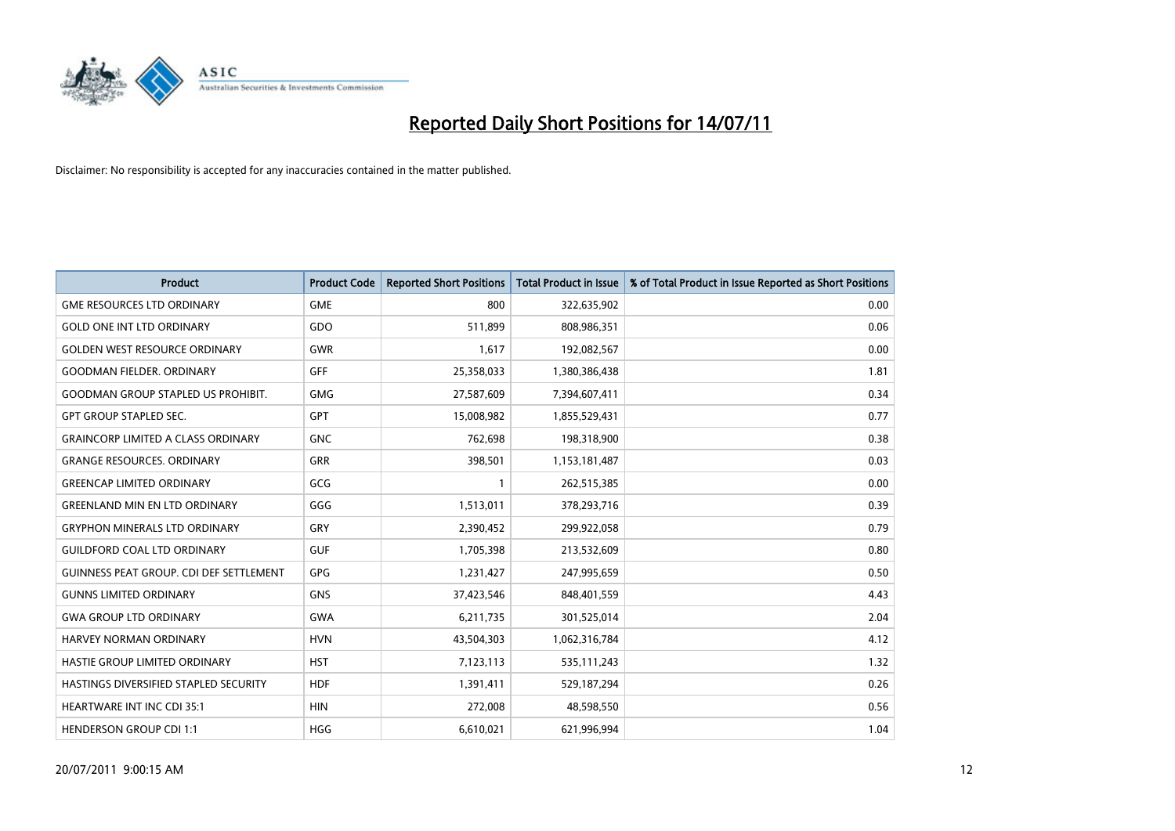

| <b>Product</b>                                 | <b>Product Code</b> | <b>Reported Short Positions</b> | <b>Total Product in Issue</b> | % of Total Product in Issue Reported as Short Positions |
|------------------------------------------------|---------------------|---------------------------------|-------------------------------|---------------------------------------------------------|
| <b>GME RESOURCES LTD ORDINARY</b>              | <b>GME</b>          | 800                             | 322,635,902                   | 0.00                                                    |
| <b>GOLD ONE INT LTD ORDINARY</b>               | GDO                 | 511,899                         | 808,986,351                   | 0.06                                                    |
| <b>GOLDEN WEST RESOURCE ORDINARY</b>           | <b>GWR</b>          | 1,617                           | 192,082,567                   | 0.00                                                    |
| <b>GOODMAN FIELDER, ORDINARY</b>               | <b>GFF</b>          | 25,358,033                      | 1,380,386,438                 | 1.81                                                    |
| <b>GOODMAN GROUP STAPLED US PROHIBIT.</b>      | <b>GMG</b>          | 27,587,609                      | 7,394,607,411                 | 0.34                                                    |
| <b>GPT GROUP STAPLED SEC.</b>                  | <b>GPT</b>          | 15,008,982                      | 1,855,529,431                 | 0.77                                                    |
| <b>GRAINCORP LIMITED A CLASS ORDINARY</b>      | <b>GNC</b>          | 762,698                         | 198,318,900                   | 0.38                                                    |
| <b>GRANGE RESOURCES. ORDINARY</b>              | GRR                 | 398,501                         | 1,153,181,487                 | 0.03                                                    |
| <b>GREENCAP LIMITED ORDINARY</b>               | GCG                 |                                 | 262,515,385                   | 0.00                                                    |
| <b>GREENLAND MIN EN LTD ORDINARY</b>           | GGG                 | 1,513,011                       | 378,293,716                   | 0.39                                                    |
| <b>GRYPHON MINERALS LTD ORDINARY</b>           | GRY                 | 2,390,452                       | 299,922,058                   | 0.79                                                    |
| <b>GUILDFORD COAL LTD ORDINARY</b>             | <b>GUF</b>          | 1,705,398                       | 213,532,609                   | 0.80                                                    |
| <b>GUINNESS PEAT GROUP. CDI DEF SETTLEMENT</b> | <b>GPG</b>          | 1,231,427                       | 247,995,659                   | 0.50                                                    |
| <b>GUNNS LIMITED ORDINARY</b>                  | <b>GNS</b>          | 37,423,546                      | 848,401,559                   | 4.43                                                    |
| <b>GWA GROUP LTD ORDINARY</b>                  | <b>GWA</b>          | 6,211,735                       | 301,525,014                   | 2.04                                                    |
| HARVEY NORMAN ORDINARY                         | <b>HVN</b>          | 43,504,303                      | 1,062,316,784                 | 4.12                                                    |
| HASTIE GROUP LIMITED ORDINARY                  | <b>HST</b>          | 7,123,113                       | 535,111,243                   | 1.32                                                    |
| HASTINGS DIVERSIFIED STAPLED SECURITY          | <b>HDF</b>          | 1,391,411                       | 529,187,294                   | 0.26                                                    |
| <b>HEARTWARE INT INC CDI 35:1</b>              | <b>HIN</b>          | 272,008                         | 48,598,550                    | 0.56                                                    |
| <b>HENDERSON GROUP CDI 1:1</b>                 | <b>HGG</b>          | 6,610,021                       | 621,996,994                   | 1.04                                                    |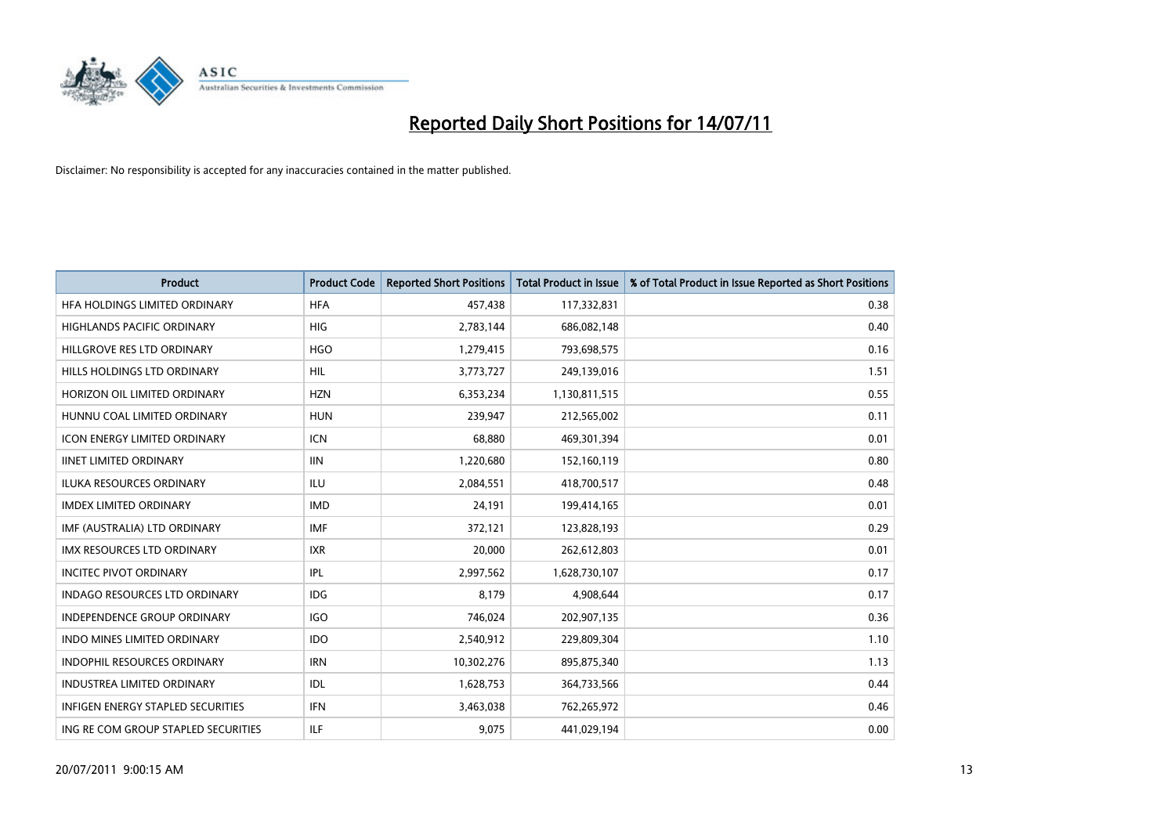

| <b>Product</b>                           | <b>Product Code</b> | <b>Reported Short Positions</b> | <b>Total Product in Issue</b> | % of Total Product in Issue Reported as Short Positions |
|------------------------------------------|---------------------|---------------------------------|-------------------------------|---------------------------------------------------------|
| HFA HOLDINGS LIMITED ORDINARY            | <b>HFA</b>          | 457,438                         | 117,332,831                   | 0.38                                                    |
| HIGHLANDS PACIFIC ORDINARY               | <b>HIG</b>          | 2,783,144                       | 686,082,148                   | 0.40                                                    |
| HILLGROVE RES LTD ORDINARY               | <b>HGO</b>          | 1,279,415                       | 793,698,575                   | 0.16                                                    |
| HILLS HOLDINGS LTD ORDINARY              | <b>HIL</b>          | 3,773,727                       | 249,139,016                   | 1.51                                                    |
| HORIZON OIL LIMITED ORDINARY             | <b>HZN</b>          | 6,353,234                       | 1,130,811,515                 | 0.55                                                    |
| HUNNU COAL LIMITED ORDINARY              | <b>HUN</b>          | 239,947                         | 212,565,002                   | 0.11                                                    |
| <b>ICON ENERGY LIMITED ORDINARY</b>      | <b>ICN</b>          | 68.880                          | 469,301,394                   | 0.01                                                    |
| <b>IINET LIMITED ORDINARY</b>            | <b>IIN</b>          | 1,220,680                       | 152,160,119                   | 0.80                                                    |
| <b>ILUKA RESOURCES ORDINARY</b>          | ILU                 | 2,084,551                       | 418,700,517                   | 0.48                                                    |
| <b>IMDEX LIMITED ORDINARY</b>            | <b>IMD</b>          | 24,191                          | 199,414,165                   | 0.01                                                    |
| IMF (AUSTRALIA) LTD ORDINARY             | <b>IMF</b>          | 372,121                         | 123,828,193                   | 0.29                                                    |
| <b>IMX RESOURCES LTD ORDINARY</b>        | <b>IXR</b>          | 20,000                          | 262,612,803                   | 0.01                                                    |
| <b>INCITEC PIVOT ORDINARY</b>            | <b>IPL</b>          | 2,997,562                       | 1,628,730,107                 | 0.17                                                    |
| INDAGO RESOURCES LTD ORDINARY            | <b>IDG</b>          | 8,179                           | 4,908,644                     | 0.17                                                    |
| <b>INDEPENDENCE GROUP ORDINARY</b>       | <b>IGO</b>          | 746,024                         | 202,907,135                   | 0.36                                                    |
| <b>INDO MINES LIMITED ORDINARY</b>       | <b>IDO</b>          | 2,540,912                       | 229,809,304                   | 1.10                                                    |
| INDOPHIL RESOURCES ORDINARY              | <b>IRN</b>          | 10,302,276                      | 895,875,340                   | 1.13                                                    |
| <b>INDUSTREA LIMITED ORDINARY</b>        | IDL                 | 1,628,753                       | 364,733,566                   | 0.44                                                    |
| <b>INFIGEN ENERGY STAPLED SECURITIES</b> | <b>IFN</b>          | 3,463,038                       | 762,265,972                   | 0.46                                                    |
| ING RE COM GROUP STAPLED SECURITIES      | ILF                 | 9,075                           | 441,029,194                   | 0.00                                                    |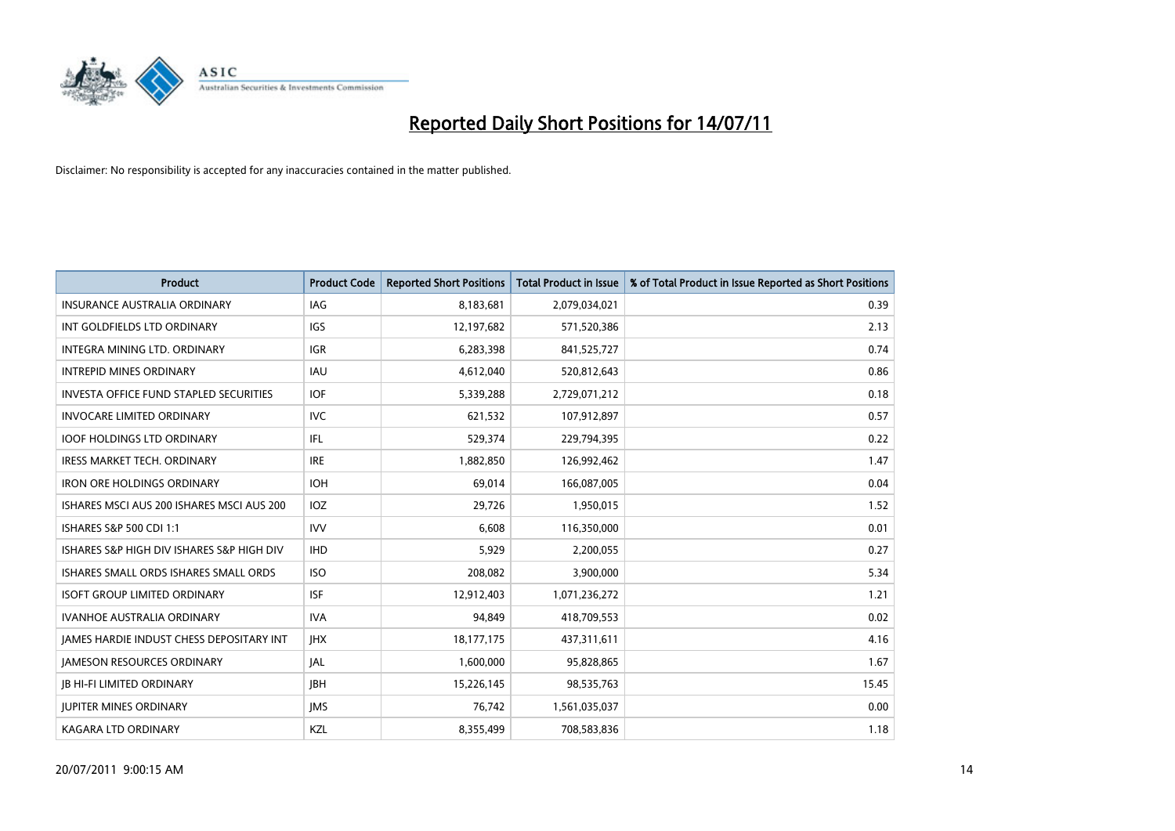

| <b>Product</b>                                  | <b>Product Code</b> | <b>Reported Short Positions</b> | <b>Total Product in Issue</b> | % of Total Product in Issue Reported as Short Positions |
|-------------------------------------------------|---------------------|---------------------------------|-------------------------------|---------------------------------------------------------|
| <b>INSURANCE AUSTRALIA ORDINARY</b>             | <b>IAG</b>          | 8,183,681                       | 2,079,034,021                 | 0.39                                                    |
| INT GOLDFIELDS LTD ORDINARY                     | <b>IGS</b>          | 12,197,682                      | 571,520,386                   | 2.13                                                    |
| INTEGRA MINING LTD. ORDINARY                    | <b>IGR</b>          | 6,283,398                       | 841,525,727                   | 0.74                                                    |
| <b>INTREPID MINES ORDINARY</b>                  | <b>IAU</b>          | 4,612,040                       | 520,812,643                   | 0.86                                                    |
| <b>INVESTA OFFICE FUND STAPLED SECURITIES</b>   | <b>IOF</b>          | 5,339,288                       | 2,729,071,212                 | 0.18                                                    |
| <b>INVOCARE LIMITED ORDINARY</b>                | <b>IVC</b>          | 621,532                         | 107,912,897                   | 0.57                                                    |
| <b>IOOF HOLDINGS LTD ORDINARY</b>               | IFL                 | 529,374                         | 229,794,395                   | 0.22                                                    |
| <b>IRESS MARKET TECH. ORDINARY</b>              | <b>IRE</b>          | 1,882,850                       | 126,992,462                   | 1.47                                                    |
| <b>IRON ORE HOLDINGS ORDINARY</b>               | <b>IOH</b>          | 69,014                          | 166,087,005                   | 0.04                                                    |
| ISHARES MSCI AUS 200 ISHARES MSCI AUS 200       | <b>IOZ</b>          | 29,726                          | 1,950,015                     | 1.52                                                    |
| <b>ISHARES S&amp;P 500 CDI 1:1</b>              | <b>IVV</b>          | 6,608                           | 116,350,000                   | 0.01                                                    |
| ISHARES S&P HIGH DIV ISHARES S&P HIGH DIV       | <b>IHD</b>          | 5,929                           | 2,200,055                     | 0.27                                                    |
| ISHARES SMALL ORDS ISHARES SMALL ORDS           | <b>ISO</b>          | 208,082                         | 3,900,000                     | 5.34                                                    |
| <b>ISOFT GROUP LIMITED ORDINARY</b>             | <b>ISF</b>          | 12,912,403                      | 1,071,236,272                 | 1.21                                                    |
| <b>IVANHOE AUSTRALIA ORDINARY</b>               | <b>IVA</b>          | 94,849                          | 418,709,553                   | 0.02                                                    |
| <b>JAMES HARDIE INDUST CHESS DEPOSITARY INT</b> | <b>IHX</b>          | 18, 177, 175                    | 437,311,611                   | 4.16                                                    |
| <b>JAMESON RESOURCES ORDINARY</b>               | <b>JAL</b>          | 1,600,000                       | 95,828,865                    | 1.67                                                    |
| <b>JB HI-FI LIMITED ORDINARY</b>                | <b>JBH</b>          | 15,226,145                      | 98,535,763                    | 15.45                                                   |
| <b>JUPITER MINES ORDINARY</b>                   | <b>IMS</b>          | 76,742                          | 1,561,035,037                 | 0.00                                                    |
| KAGARA LTD ORDINARY                             | KZL                 | 8,355,499                       | 708,583,836                   | 1.18                                                    |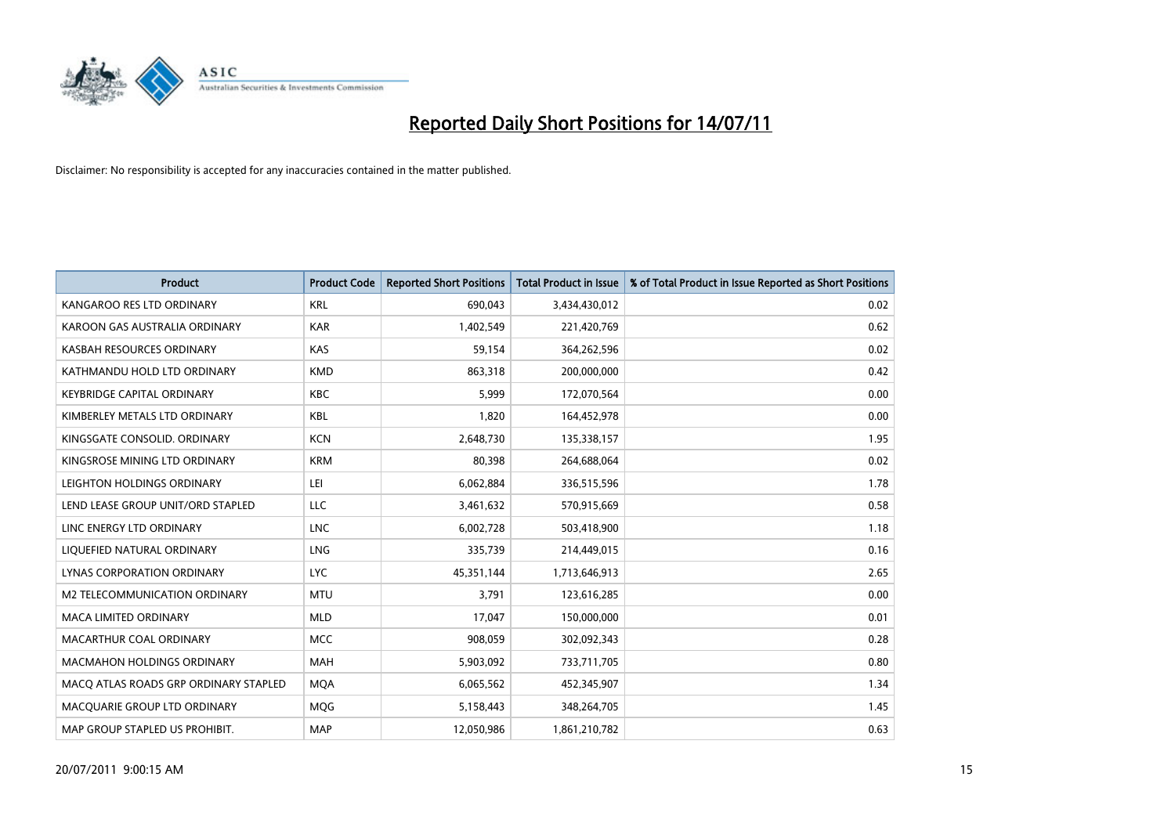

| <b>Product</b>                        | <b>Product Code</b> | <b>Reported Short Positions</b> | <b>Total Product in Issue</b> | % of Total Product in Issue Reported as Short Positions |
|---------------------------------------|---------------------|---------------------------------|-------------------------------|---------------------------------------------------------|
| KANGAROO RES LTD ORDINARY             | <b>KRL</b>          | 690,043                         | 3,434,430,012                 | 0.02                                                    |
| KAROON GAS AUSTRALIA ORDINARY         | <b>KAR</b>          | 1,402,549                       | 221,420,769                   | 0.62                                                    |
| KASBAH RESOURCES ORDINARY             | <b>KAS</b>          | 59,154                          | 364,262,596                   | 0.02                                                    |
| KATHMANDU HOLD LTD ORDINARY           | <b>KMD</b>          | 863,318                         | 200,000,000                   | 0.42                                                    |
| <b>KEYBRIDGE CAPITAL ORDINARY</b>     | <b>KBC</b>          | 5,999                           | 172,070,564                   | 0.00                                                    |
| KIMBERLEY METALS LTD ORDINARY         | <b>KBL</b>          | 1,820                           | 164,452,978                   | 0.00                                                    |
| KINGSGATE CONSOLID, ORDINARY          | <b>KCN</b>          | 2,648,730                       | 135,338,157                   | 1.95                                                    |
| KINGSROSE MINING LTD ORDINARY         | <b>KRM</b>          | 80,398                          | 264,688,064                   | 0.02                                                    |
| LEIGHTON HOLDINGS ORDINARY            | LEI                 | 6,062,884                       | 336,515,596                   | 1.78                                                    |
| LEND LEASE GROUP UNIT/ORD STAPLED     | LLC                 | 3,461,632                       | 570,915,669                   | 0.58                                                    |
| LINC ENERGY LTD ORDINARY              | <b>LNC</b>          | 6,002,728                       | 503,418,900                   | 1.18                                                    |
| LIQUEFIED NATURAL ORDINARY            | LNG                 | 335,739                         | 214,449,015                   | 0.16                                                    |
| LYNAS CORPORATION ORDINARY            | <b>LYC</b>          | 45,351,144                      | 1,713,646,913                 | 2.65                                                    |
| <b>M2 TELECOMMUNICATION ORDINARY</b>  | <b>MTU</b>          | 3,791                           | 123,616,285                   | 0.00                                                    |
| MACA LIMITED ORDINARY                 | <b>MLD</b>          | 17,047                          | 150,000,000                   | 0.01                                                    |
| MACARTHUR COAL ORDINARY               | <b>MCC</b>          | 908,059                         | 302,092,343                   | 0.28                                                    |
| <b>MACMAHON HOLDINGS ORDINARY</b>     | <b>MAH</b>          | 5,903,092                       | 733,711,705                   | 0.80                                                    |
| MACQ ATLAS ROADS GRP ORDINARY STAPLED | <b>MOA</b>          | 6,065,562                       | 452,345,907                   | 1.34                                                    |
| MACOUARIE GROUP LTD ORDINARY          | <b>MOG</b>          | 5,158,443                       | 348,264,705                   | 1.45                                                    |
| MAP GROUP STAPLED US PROHIBIT.        | <b>MAP</b>          | 12,050,986                      | 1,861,210,782                 | 0.63                                                    |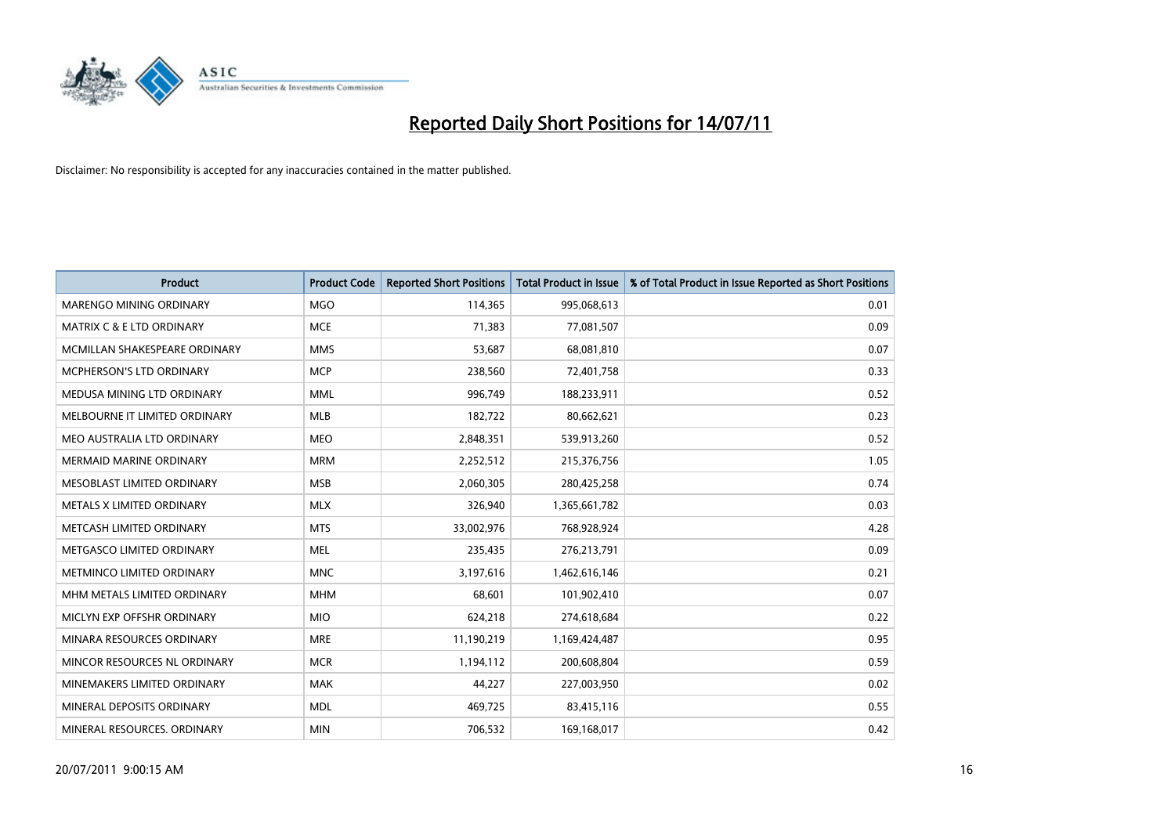

| <b>Product</b>                       | <b>Product Code</b> | <b>Reported Short Positions</b> | <b>Total Product in Issue</b> | % of Total Product in Issue Reported as Short Positions |
|--------------------------------------|---------------------|---------------------------------|-------------------------------|---------------------------------------------------------|
| <b>MARENGO MINING ORDINARY</b>       | <b>MGO</b>          | 114,365                         | 995,068,613                   | 0.01                                                    |
| <b>MATRIX C &amp; E LTD ORDINARY</b> | <b>MCE</b>          | 71,383                          | 77,081,507                    | 0.09                                                    |
| MCMILLAN SHAKESPEARE ORDINARY        | <b>MMS</b>          | 53,687                          | 68,081,810                    | 0.07                                                    |
| MCPHERSON'S LTD ORDINARY             | <b>MCP</b>          | 238,560                         | 72,401,758                    | 0.33                                                    |
| MEDUSA MINING LTD ORDINARY           | <b>MML</b>          | 996,749                         | 188,233,911                   | 0.52                                                    |
| MELBOURNE IT LIMITED ORDINARY        | <b>MLB</b>          | 182,722                         | 80,662,621                    | 0.23                                                    |
| MEO AUSTRALIA LTD ORDINARY           | <b>MEO</b>          | 2,848,351                       | 539,913,260                   | 0.52                                                    |
| MERMAID MARINE ORDINARY              | <b>MRM</b>          | 2,252,512                       | 215,376,756                   | 1.05                                                    |
| MESOBLAST LIMITED ORDINARY           | <b>MSB</b>          | 2,060,305                       | 280,425,258                   | 0.74                                                    |
| METALS X LIMITED ORDINARY            | <b>MLX</b>          | 326,940                         | 1,365,661,782                 | 0.03                                                    |
| METCASH LIMITED ORDINARY             | <b>MTS</b>          | 33,002,976                      | 768,928,924                   | 4.28                                                    |
| METGASCO LIMITED ORDINARY            | <b>MEL</b>          | 235,435                         | 276,213,791                   | 0.09                                                    |
| METMINCO LIMITED ORDINARY            | <b>MNC</b>          | 3,197,616                       | 1,462,616,146                 | 0.21                                                    |
| MHM METALS LIMITED ORDINARY          | <b>MHM</b>          | 68,601                          | 101,902,410                   | 0.07                                                    |
| MICLYN EXP OFFSHR ORDINARY           | <b>MIO</b>          | 624,218                         | 274,618,684                   | 0.22                                                    |
| MINARA RESOURCES ORDINARY            | <b>MRE</b>          | 11,190,219                      | 1,169,424,487                 | 0.95                                                    |
| MINCOR RESOURCES NL ORDINARY         | <b>MCR</b>          | 1,194,112                       | 200,608,804                   | 0.59                                                    |
| MINEMAKERS LIMITED ORDINARY          | <b>MAK</b>          | 44,227                          | 227,003,950                   | 0.02                                                    |
| MINERAL DEPOSITS ORDINARY            | <b>MDL</b>          | 469,725                         | 83,415,116                    | 0.55                                                    |
| MINERAL RESOURCES. ORDINARY          | <b>MIN</b>          | 706,532                         | 169,168,017                   | 0.42                                                    |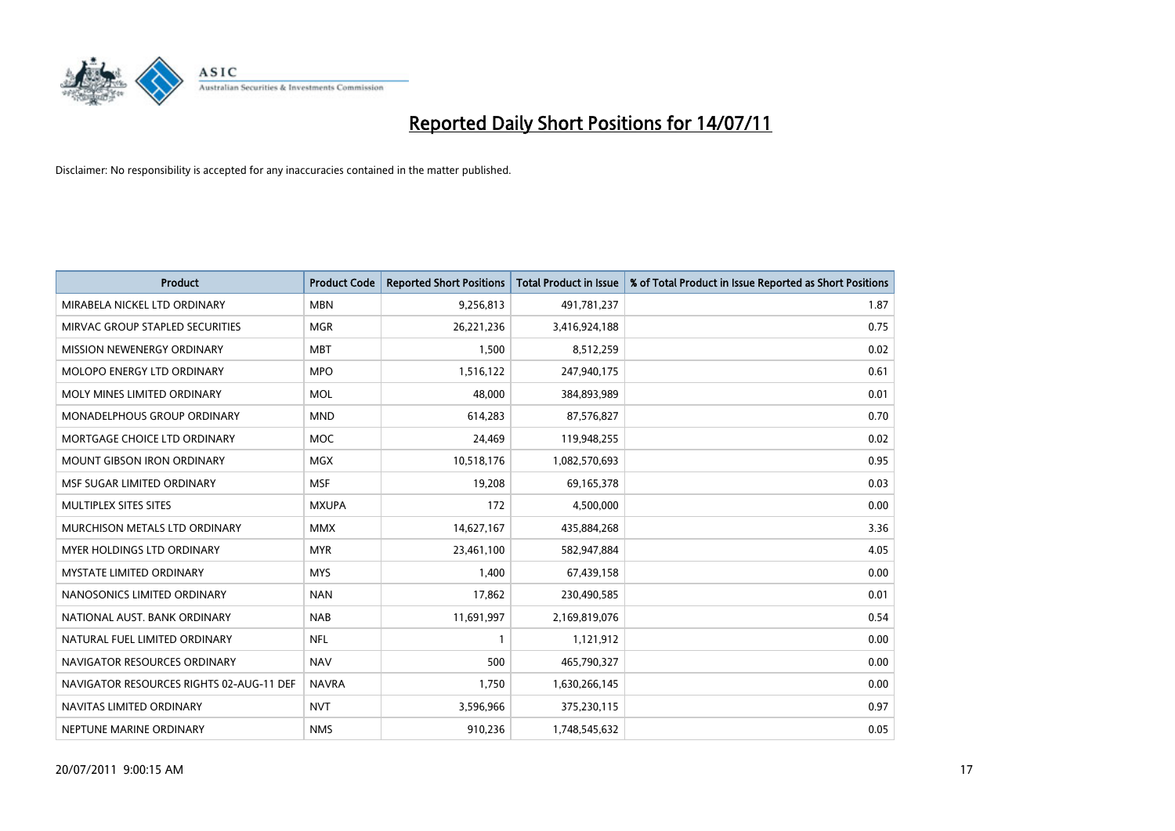

| <b>Product</b>                           | <b>Product Code</b> | <b>Reported Short Positions</b> | <b>Total Product in Issue</b> | % of Total Product in Issue Reported as Short Positions |
|------------------------------------------|---------------------|---------------------------------|-------------------------------|---------------------------------------------------------|
| MIRABELA NICKEL LTD ORDINARY             | <b>MBN</b>          | 9,256,813                       | 491,781,237                   | 1.87                                                    |
| MIRVAC GROUP STAPLED SECURITIES          | <b>MGR</b>          | 26,221,236                      | 3,416,924,188                 | 0.75                                                    |
| <b>MISSION NEWENERGY ORDINARY</b>        | <b>MBT</b>          | 1,500                           | 8,512,259                     | 0.02                                                    |
| <b>MOLOPO ENERGY LTD ORDINARY</b>        | <b>MPO</b>          | 1,516,122                       | 247,940,175                   | 0.61                                                    |
| MOLY MINES LIMITED ORDINARY              | <b>MOL</b>          | 48,000                          | 384,893,989                   | 0.01                                                    |
| MONADELPHOUS GROUP ORDINARY              | <b>MND</b>          | 614,283                         | 87,576,827                    | 0.70                                                    |
| MORTGAGE CHOICE LTD ORDINARY             | <b>MOC</b>          | 24,469                          | 119,948,255                   | 0.02                                                    |
| <b>MOUNT GIBSON IRON ORDINARY</b>        | <b>MGX</b>          | 10,518,176                      | 1,082,570,693                 | 0.95                                                    |
| MSF SUGAR LIMITED ORDINARY               | <b>MSF</b>          | 19,208                          | 69,165,378                    | 0.03                                                    |
| MULTIPLEX SITES SITES                    | <b>MXUPA</b>        | 172                             | 4,500,000                     | 0.00                                                    |
| MURCHISON METALS LTD ORDINARY            | <b>MMX</b>          | 14,627,167                      | 435,884,268                   | 3.36                                                    |
| <b>MYER HOLDINGS LTD ORDINARY</b>        | <b>MYR</b>          | 23,461,100                      | 582,947,884                   | 4.05                                                    |
| <b>MYSTATE LIMITED ORDINARY</b>          | <b>MYS</b>          | 1,400                           | 67,439,158                    | 0.00                                                    |
| NANOSONICS LIMITED ORDINARY              | <b>NAN</b>          | 17,862                          | 230,490,585                   | 0.01                                                    |
| NATIONAL AUST. BANK ORDINARY             | <b>NAB</b>          | 11,691,997                      | 2,169,819,076                 | 0.54                                                    |
| NATURAL FUEL LIMITED ORDINARY            | <b>NFL</b>          |                                 | 1,121,912                     | 0.00                                                    |
| NAVIGATOR RESOURCES ORDINARY             | <b>NAV</b>          | 500                             | 465,790,327                   | 0.00                                                    |
| NAVIGATOR RESOURCES RIGHTS 02-AUG-11 DEF | <b>NAVRA</b>        | 1,750                           | 1,630,266,145                 | 0.00                                                    |
| NAVITAS LIMITED ORDINARY                 | <b>NVT</b>          | 3,596,966                       | 375,230,115                   | 0.97                                                    |
| NEPTUNE MARINE ORDINARY                  | <b>NMS</b>          | 910,236                         | 1,748,545,632                 | 0.05                                                    |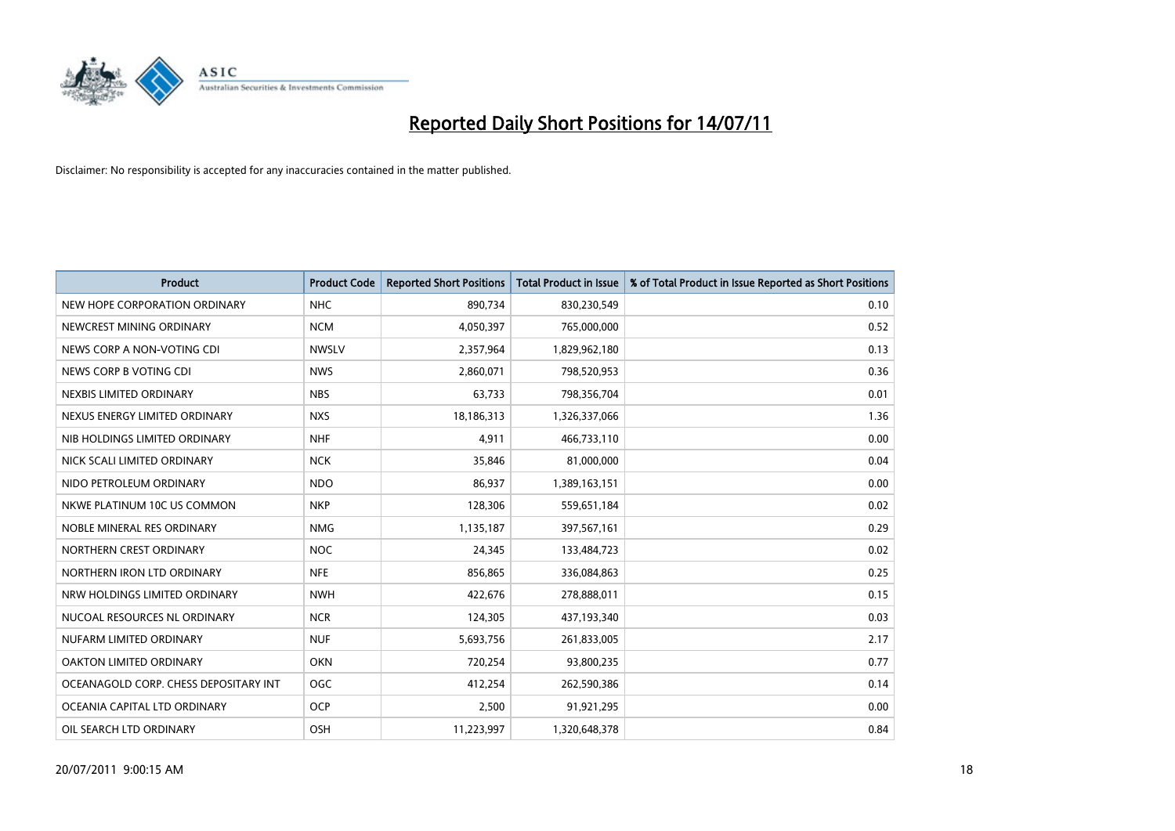

| <b>Product</b>                        | <b>Product Code</b> | <b>Reported Short Positions</b> | Total Product in Issue | % of Total Product in Issue Reported as Short Positions |
|---------------------------------------|---------------------|---------------------------------|------------------------|---------------------------------------------------------|
| NEW HOPE CORPORATION ORDINARY         | <b>NHC</b>          | 890,734                         | 830,230,549            | 0.10                                                    |
| NEWCREST MINING ORDINARY              | <b>NCM</b>          | 4,050,397                       | 765,000,000            | 0.52                                                    |
| NEWS CORP A NON-VOTING CDI            | <b>NWSLV</b>        | 2,357,964                       | 1,829,962,180          | 0.13                                                    |
| NEWS CORP B VOTING CDI                | <b>NWS</b>          | 2,860,071                       | 798,520,953            | 0.36                                                    |
| NEXBIS LIMITED ORDINARY               | <b>NBS</b>          | 63,733                          | 798,356,704            | 0.01                                                    |
| NEXUS ENERGY LIMITED ORDINARY         | <b>NXS</b>          | 18,186,313                      | 1,326,337,066          | 1.36                                                    |
| NIB HOLDINGS LIMITED ORDINARY         | <b>NHF</b>          | 4,911                           | 466,733,110            | 0.00                                                    |
| NICK SCALI LIMITED ORDINARY           | <b>NCK</b>          | 35,846                          | 81,000,000             | 0.04                                                    |
| NIDO PETROLEUM ORDINARY               | <b>NDO</b>          | 86,937                          | 1,389,163,151          | 0.00                                                    |
| NKWE PLATINUM 10C US COMMON           | <b>NKP</b>          | 128,306                         | 559,651,184            | 0.02                                                    |
| NOBLE MINERAL RES ORDINARY            | <b>NMG</b>          | 1,135,187                       | 397,567,161            | 0.29                                                    |
| NORTHERN CREST ORDINARY               | <b>NOC</b>          | 24,345                          | 133,484,723            | 0.02                                                    |
| NORTHERN IRON LTD ORDINARY            | <b>NFE</b>          | 856,865                         | 336,084,863            | 0.25                                                    |
| NRW HOLDINGS LIMITED ORDINARY         | <b>NWH</b>          | 422,676                         | 278,888,011            | 0.15                                                    |
| NUCOAL RESOURCES NL ORDINARY          | <b>NCR</b>          | 124,305                         | 437,193,340            | 0.03                                                    |
| NUFARM LIMITED ORDINARY               | <b>NUF</b>          | 5,693,756                       | 261,833,005            | 2.17                                                    |
| <b>OAKTON LIMITED ORDINARY</b>        | <b>OKN</b>          | 720,254                         | 93,800,235             | 0.77                                                    |
| OCEANAGOLD CORP. CHESS DEPOSITARY INT | <b>OGC</b>          | 412,254                         | 262,590,386            | 0.14                                                    |
| OCEANIA CAPITAL LTD ORDINARY          | <b>OCP</b>          | 2,500                           | 91,921,295             | 0.00                                                    |
| OIL SEARCH LTD ORDINARY               | OSH                 | 11,223,997                      | 1,320,648,378          | 0.84                                                    |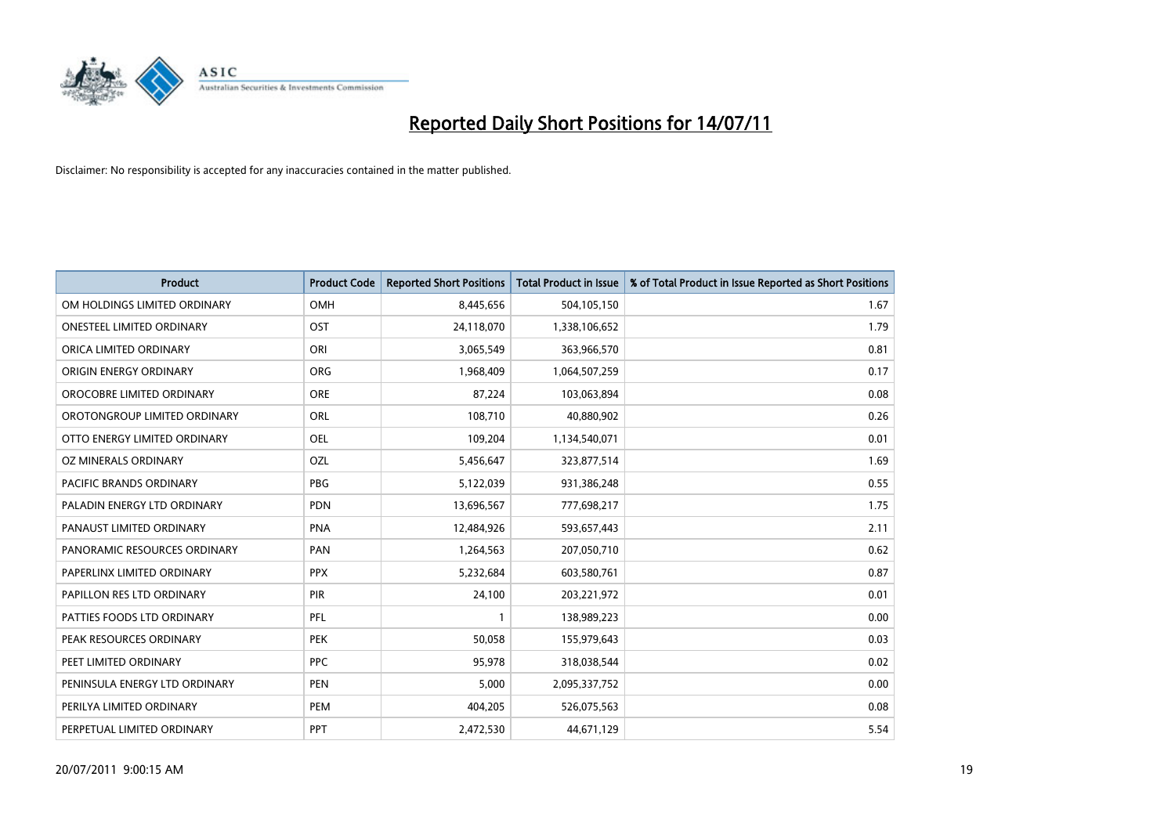

| <b>Product</b>                | <b>Product Code</b> | <b>Reported Short Positions</b> | Total Product in Issue | % of Total Product in Issue Reported as Short Positions |
|-------------------------------|---------------------|---------------------------------|------------------------|---------------------------------------------------------|
| OM HOLDINGS LIMITED ORDINARY  | OMH                 | 8,445,656                       | 504,105,150            | 1.67                                                    |
| ONESTEEL LIMITED ORDINARY     | OST                 | 24,118,070                      | 1,338,106,652          | 1.79                                                    |
| ORICA LIMITED ORDINARY        | ORI                 | 3,065,549                       | 363,966,570            | 0.81                                                    |
| ORIGIN ENERGY ORDINARY        | <b>ORG</b>          | 1,968,409                       | 1,064,507,259          | 0.17                                                    |
| OROCOBRE LIMITED ORDINARY     | <b>ORE</b>          | 87,224                          | 103,063,894            | 0.08                                                    |
| OROTONGROUP LIMITED ORDINARY  | <b>ORL</b>          | 108,710                         | 40,880,902             | 0.26                                                    |
| OTTO ENERGY LIMITED ORDINARY  | <b>OEL</b>          | 109,204                         | 1,134,540,071          | 0.01                                                    |
| OZ MINERALS ORDINARY          | OZL                 | 5,456,647                       | 323,877,514            | 1.69                                                    |
| PACIFIC BRANDS ORDINARY       | <b>PBG</b>          | 5,122,039                       | 931,386,248            | 0.55                                                    |
| PALADIN ENERGY LTD ORDINARY   | <b>PDN</b>          | 13,696,567                      | 777,698,217            | 1.75                                                    |
| PANAUST LIMITED ORDINARY      | <b>PNA</b>          | 12,484,926                      | 593,657,443            | 2.11                                                    |
| PANORAMIC RESOURCES ORDINARY  | PAN                 | 1,264,563                       | 207,050,710            | 0.62                                                    |
| PAPERLINX LIMITED ORDINARY    | <b>PPX</b>          | 5,232,684                       | 603,580,761            | 0.87                                                    |
| PAPILLON RES LTD ORDINARY     | PIR                 | 24,100                          | 203,221,972            | 0.01                                                    |
| PATTIES FOODS LTD ORDINARY    | PFL                 |                                 | 138,989,223            | 0.00                                                    |
| PEAK RESOURCES ORDINARY       | <b>PEK</b>          | 50,058                          | 155,979,643            | 0.03                                                    |
| PEET LIMITED ORDINARY         | <b>PPC</b>          | 95,978                          | 318,038,544            | 0.02                                                    |
| PENINSULA ENERGY LTD ORDINARY | <b>PEN</b>          | 5,000                           | 2,095,337,752          | 0.00                                                    |
| PERILYA LIMITED ORDINARY      | PEM                 | 404,205                         | 526,075,563            | 0.08                                                    |
| PERPETUAL LIMITED ORDINARY    | <b>PPT</b>          | 2,472,530                       | 44,671,129             | 5.54                                                    |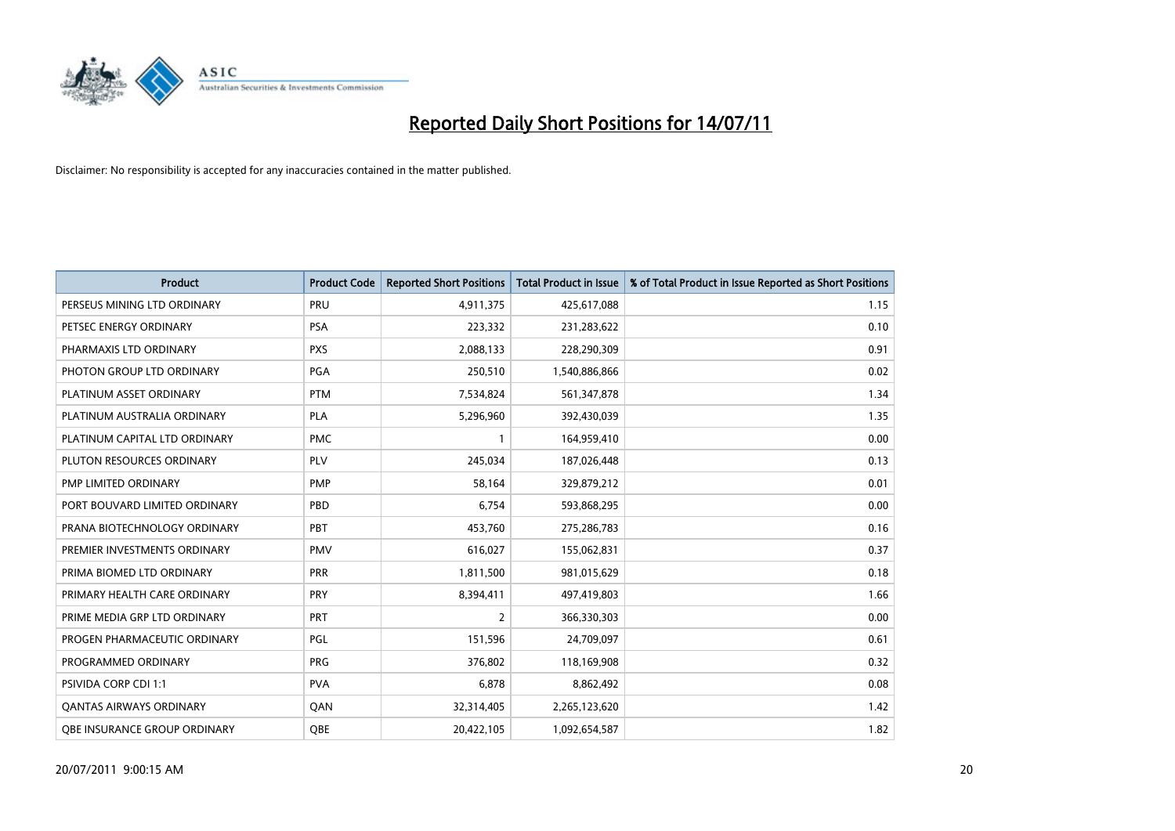

| <b>Product</b>                      | <b>Product Code</b> | <b>Reported Short Positions</b> | Total Product in Issue | % of Total Product in Issue Reported as Short Positions |
|-------------------------------------|---------------------|---------------------------------|------------------------|---------------------------------------------------------|
| PERSEUS MINING LTD ORDINARY         | PRU                 | 4,911,375                       | 425,617,088            | 1.15                                                    |
| PETSEC ENERGY ORDINARY              | <b>PSA</b>          | 223,332                         | 231,283,622            | 0.10                                                    |
| PHARMAXIS LTD ORDINARY              | <b>PXS</b>          | 2,088,133                       | 228,290,309            | 0.91                                                    |
| PHOTON GROUP LTD ORDINARY           | <b>PGA</b>          | 250,510                         | 1,540,886,866          | 0.02                                                    |
| PLATINUM ASSET ORDINARY             | <b>PTM</b>          | 7,534,824                       | 561,347,878            | 1.34                                                    |
| PLATINUM AUSTRALIA ORDINARY         | PLA                 | 5,296,960                       | 392,430,039            | 1.35                                                    |
| PLATINUM CAPITAL LTD ORDINARY       | <b>PMC</b>          |                                 | 164,959,410            | 0.00                                                    |
| PLUTON RESOURCES ORDINARY           | PLV                 | 245,034                         | 187,026,448            | 0.13                                                    |
| PMP LIMITED ORDINARY                | <b>PMP</b>          | 58,164                          | 329,879,212            | 0.01                                                    |
| PORT BOUVARD LIMITED ORDINARY       | PBD                 | 6,754                           | 593,868,295            | 0.00                                                    |
| PRANA BIOTECHNOLOGY ORDINARY        | <b>PBT</b>          | 453,760                         | 275,286,783            | 0.16                                                    |
| PREMIER INVESTMENTS ORDINARY        | <b>PMV</b>          | 616,027                         | 155,062,831            | 0.37                                                    |
| PRIMA BIOMED LTD ORDINARY           | PRR                 | 1,811,500                       | 981,015,629            | 0.18                                                    |
| PRIMARY HEALTH CARE ORDINARY        | PRY                 | 8,394,411                       | 497,419,803            | 1.66                                                    |
| PRIME MEDIA GRP LTD ORDINARY        | <b>PRT</b>          | $\overline{2}$                  | 366,330,303            | 0.00                                                    |
| PROGEN PHARMACEUTIC ORDINARY        | PGL                 | 151,596                         | 24,709,097             | 0.61                                                    |
| PROGRAMMED ORDINARY                 | <b>PRG</b>          | 376,802                         | 118,169,908            | 0.32                                                    |
| PSIVIDA CORP CDI 1:1                | <b>PVA</b>          | 6,878                           | 8,862,492              | 0.08                                                    |
| <b>QANTAS AIRWAYS ORDINARY</b>      | QAN                 | 32,314,405                      | 2,265,123,620          | 1.42                                                    |
| <b>QBE INSURANCE GROUP ORDINARY</b> | OBE                 | 20,422,105                      | 1,092,654,587          | 1.82                                                    |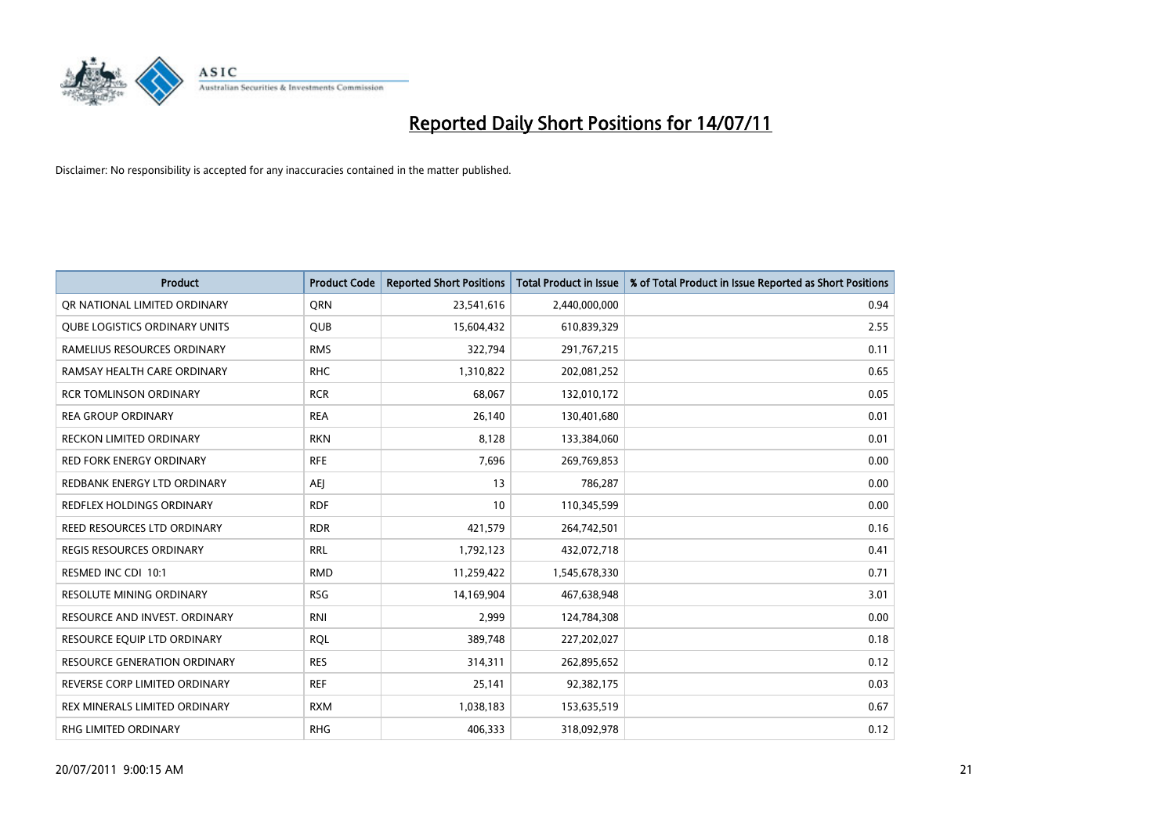

| <b>Product</b>                       | <b>Product Code</b> | <b>Reported Short Positions</b> | Total Product in Issue | % of Total Product in Issue Reported as Short Positions |
|--------------------------------------|---------------------|---------------------------------|------------------------|---------------------------------------------------------|
| OR NATIONAL LIMITED ORDINARY         | <b>ORN</b>          | 23,541,616                      | 2,440,000,000          | 0.94                                                    |
| <b>QUBE LOGISTICS ORDINARY UNITS</b> | <b>QUB</b>          | 15,604,432                      | 610,839,329            | 2.55                                                    |
| RAMELIUS RESOURCES ORDINARY          | <b>RMS</b>          | 322,794                         | 291,767,215            | 0.11                                                    |
| RAMSAY HEALTH CARE ORDINARY          | <b>RHC</b>          | 1,310,822                       | 202,081,252            | 0.65                                                    |
| <b>RCR TOMLINSON ORDINARY</b>        | <b>RCR</b>          | 68,067                          | 132,010,172            | 0.05                                                    |
| <b>REA GROUP ORDINARY</b>            | <b>REA</b>          | 26,140                          | 130,401,680            | 0.01                                                    |
| <b>RECKON LIMITED ORDINARY</b>       | <b>RKN</b>          | 8,128                           | 133,384,060            | 0.01                                                    |
| <b>RED FORK ENERGY ORDINARY</b>      | <b>RFE</b>          | 7,696                           | 269,769,853            | 0.00                                                    |
| REDBANK ENERGY LTD ORDINARY          | <b>AEI</b>          | 13                              | 786,287                | 0.00                                                    |
| <b>REDFLEX HOLDINGS ORDINARY</b>     | <b>RDF</b>          | 10                              | 110,345,599            | 0.00                                                    |
| REED RESOURCES LTD ORDINARY          | <b>RDR</b>          | 421,579                         | 264,742,501            | 0.16                                                    |
| REGIS RESOURCES ORDINARY             | <b>RRL</b>          | 1,792,123                       | 432,072,718            | 0.41                                                    |
| RESMED INC CDI 10:1                  | <b>RMD</b>          | 11,259,422                      | 1,545,678,330          | 0.71                                                    |
| <b>RESOLUTE MINING ORDINARY</b>      | <b>RSG</b>          | 14,169,904                      | 467,638,948            | 3.01                                                    |
| RESOURCE AND INVEST. ORDINARY        | <b>RNI</b>          | 2,999                           | 124,784,308            | 0.00                                                    |
| RESOURCE EQUIP LTD ORDINARY          | <b>ROL</b>          | 389,748                         | 227,202,027            | 0.18                                                    |
| <b>RESOURCE GENERATION ORDINARY</b>  | <b>RES</b>          | 314,311                         | 262,895,652            | 0.12                                                    |
| REVERSE CORP LIMITED ORDINARY        | <b>REF</b>          | 25,141                          | 92,382,175             | 0.03                                                    |
| REX MINERALS LIMITED ORDINARY        | <b>RXM</b>          | 1,038,183                       | 153,635,519            | 0.67                                                    |
| RHG LIMITED ORDINARY                 | <b>RHG</b>          | 406,333                         | 318,092,978            | 0.12                                                    |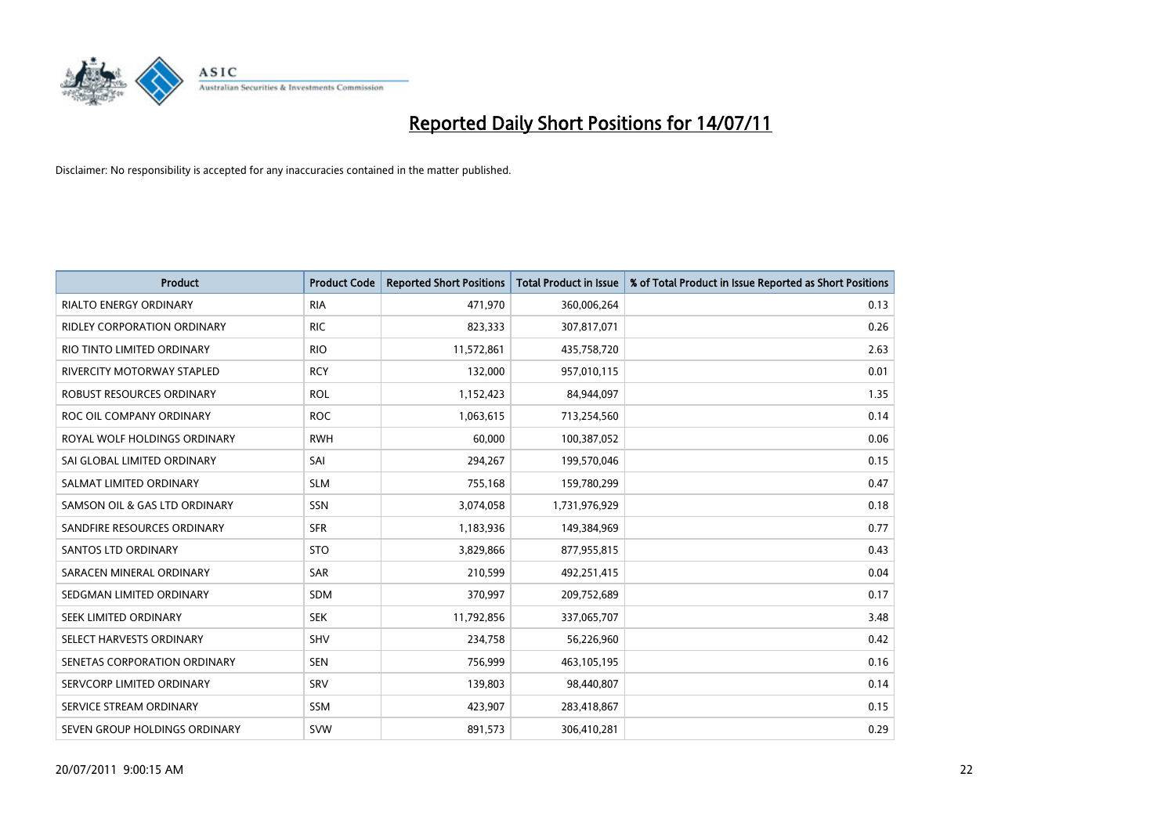

| <b>Product</b>                | <b>Product Code</b> | <b>Reported Short Positions</b> | Total Product in Issue | % of Total Product in Issue Reported as Short Positions |
|-------------------------------|---------------------|---------------------------------|------------------------|---------------------------------------------------------|
| <b>RIALTO ENERGY ORDINARY</b> | <b>RIA</b>          | 471,970                         | 360,006,264            | 0.13                                                    |
| RIDLEY CORPORATION ORDINARY   | <b>RIC</b>          | 823,333                         | 307,817,071            | 0.26                                                    |
| RIO TINTO LIMITED ORDINARY    | <b>RIO</b>          | 11,572,861                      | 435,758,720            | 2.63                                                    |
| RIVERCITY MOTORWAY STAPLED    | <b>RCY</b>          | 132,000                         | 957,010,115            | 0.01                                                    |
| ROBUST RESOURCES ORDINARY     | <b>ROL</b>          | 1,152,423                       | 84,944,097             | 1.35                                                    |
| ROC OIL COMPANY ORDINARY      | <b>ROC</b>          | 1,063,615                       | 713,254,560            | 0.14                                                    |
| ROYAL WOLF HOLDINGS ORDINARY  | <b>RWH</b>          | 60,000                          | 100,387,052            | 0.06                                                    |
| SAI GLOBAL LIMITED ORDINARY   | SAI                 | 294,267                         | 199,570,046            | 0.15                                                    |
| SALMAT LIMITED ORDINARY       | <b>SLM</b>          | 755,168                         | 159,780,299            | 0.47                                                    |
| SAMSON OIL & GAS LTD ORDINARY | SSN                 | 3,074,058                       | 1,731,976,929          | 0.18                                                    |
| SANDFIRE RESOURCES ORDINARY   | <b>SFR</b>          | 1,183,936                       | 149,384,969            | 0.77                                                    |
| <b>SANTOS LTD ORDINARY</b>    | <b>STO</b>          | 3,829,866                       | 877,955,815            | 0.43                                                    |
| SARACEN MINERAL ORDINARY      | <b>SAR</b>          | 210,599                         | 492,251,415            | 0.04                                                    |
| SEDGMAN LIMITED ORDINARY      | <b>SDM</b>          | 370,997                         | 209,752,689            | 0.17                                                    |
| SEEK LIMITED ORDINARY         | <b>SEK</b>          | 11,792,856                      | 337,065,707            | 3.48                                                    |
| SELECT HARVESTS ORDINARY      | SHV                 | 234,758                         | 56,226,960             | 0.42                                                    |
| SENETAS CORPORATION ORDINARY  | <b>SEN</b>          | 756,999                         | 463,105,195            | 0.16                                                    |
| SERVCORP LIMITED ORDINARY     | SRV                 | 139,803                         | 98,440,807             | 0.14                                                    |
| SERVICE STREAM ORDINARY       | SSM                 | 423,907                         | 283,418,867            | 0.15                                                    |
| SEVEN GROUP HOLDINGS ORDINARY | <b>SVW</b>          | 891,573                         | 306,410,281            | 0.29                                                    |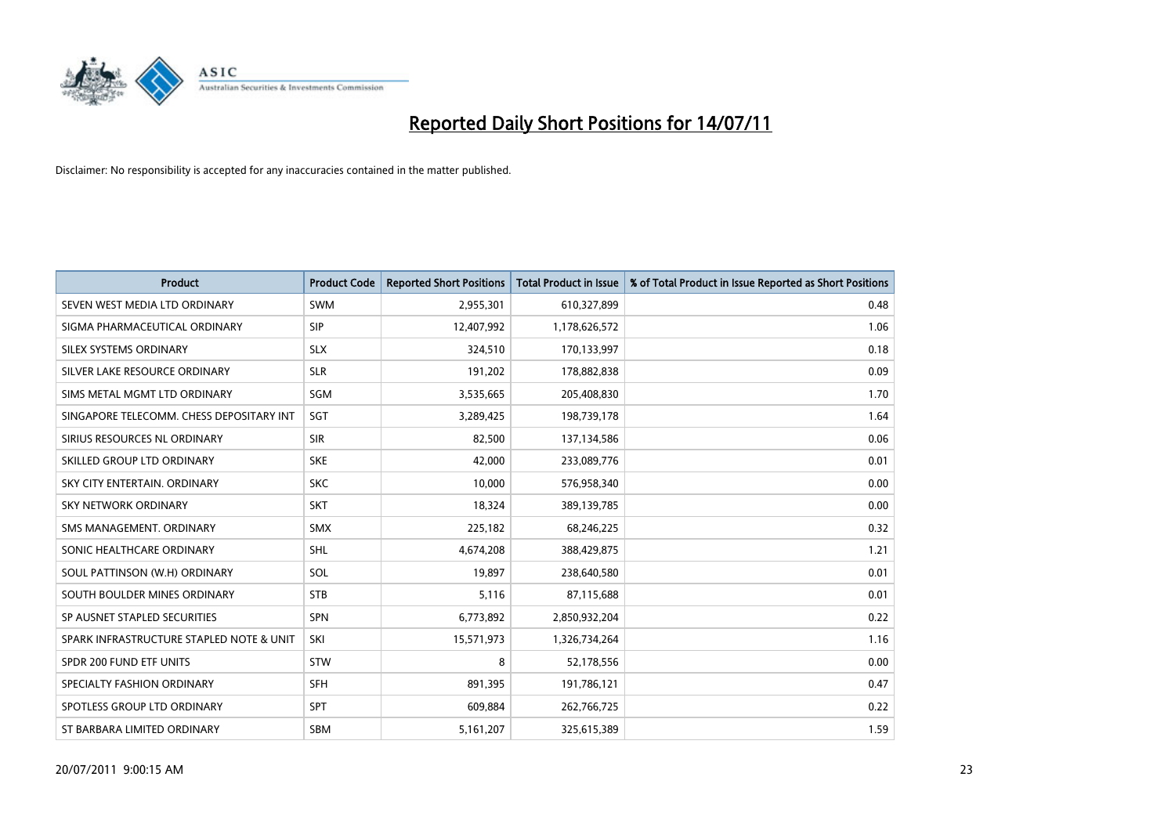

| <b>Product</b>                           | <b>Product Code</b> | <b>Reported Short Positions</b> | <b>Total Product in Issue</b> | % of Total Product in Issue Reported as Short Positions |
|------------------------------------------|---------------------|---------------------------------|-------------------------------|---------------------------------------------------------|
| SEVEN WEST MEDIA LTD ORDINARY            | <b>SWM</b>          | 2,955,301                       | 610,327,899                   | 0.48                                                    |
| SIGMA PHARMACEUTICAL ORDINARY            | <b>SIP</b>          | 12,407,992                      | 1,178,626,572                 | 1.06                                                    |
| SILEX SYSTEMS ORDINARY                   | <b>SLX</b>          | 324.510                         | 170,133,997                   | 0.18                                                    |
| SILVER LAKE RESOURCE ORDINARY            | <b>SLR</b>          | 191,202                         | 178,882,838                   | 0.09                                                    |
| SIMS METAL MGMT LTD ORDINARY             | <b>SGM</b>          | 3,535,665                       | 205,408,830                   | 1.70                                                    |
| SINGAPORE TELECOMM. CHESS DEPOSITARY INT | SGT                 | 3,289,425                       | 198,739,178                   | 1.64                                                    |
| SIRIUS RESOURCES NL ORDINARY             | <b>SIR</b>          | 82.500                          | 137,134,586                   | 0.06                                                    |
| SKILLED GROUP LTD ORDINARY               | <b>SKE</b>          | 42.000                          | 233,089,776                   | 0.01                                                    |
| SKY CITY ENTERTAIN, ORDINARY             | <b>SKC</b>          | 10,000                          | 576,958,340                   | 0.00                                                    |
| <b>SKY NETWORK ORDINARY</b>              | <b>SKT</b>          | 18,324                          | 389,139,785                   | 0.00                                                    |
| SMS MANAGEMENT. ORDINARY                 | <b>SMX</b>          | 225,182                         | 68,246,225                    | 0.32                                                    |
| SONIC HEALTHCARE ORDINARY                | <b>SHL</b>          | 4,674,208                       | 388,429,875                   | 1.21                                                    |
| SOUL PATTINSON (W.H) ORDINARY            | SOL                 | 19,897                          | 238,640,580                   | 0.01                                                    |
| SOUTH BOULDER MINES ORDINARY             | <b>STB</b>          | 5,116                           | 87,115,688                    | 0.01                                                    |
| SP AUSNET STAPLED SECURITIES             | <b>SPN</b>          | 6,773,892                       | 2,850,932,204                 | 0.22                                                    |
| SPARK INFRASTRUCTURE STAPLED NOTE & UNIT | SKI                 | 15,571,973                      | 1,326,734,264                 | 1.16                                                    |
| SPDR 200 FUND ETF UNITS                  | STW                 | 8                               | 52,178,556                    | 0.00                                                    |
| SPECIALTY FASHION ORDINARY               | <b>SFH</b>          | 891,395                         | 191,786,121                   | 0.47                                                    |
| SPOTLESS GROUP LTD ORDINARY              | <b>SPT</b>          | 609,884                         | 262,766,725                   | 0.22                                                    |
| ST BARBARA LIMITED ORDINARY              | SBM                 | 5,161,207                       | 325,615,389                   | 1.59                                                    |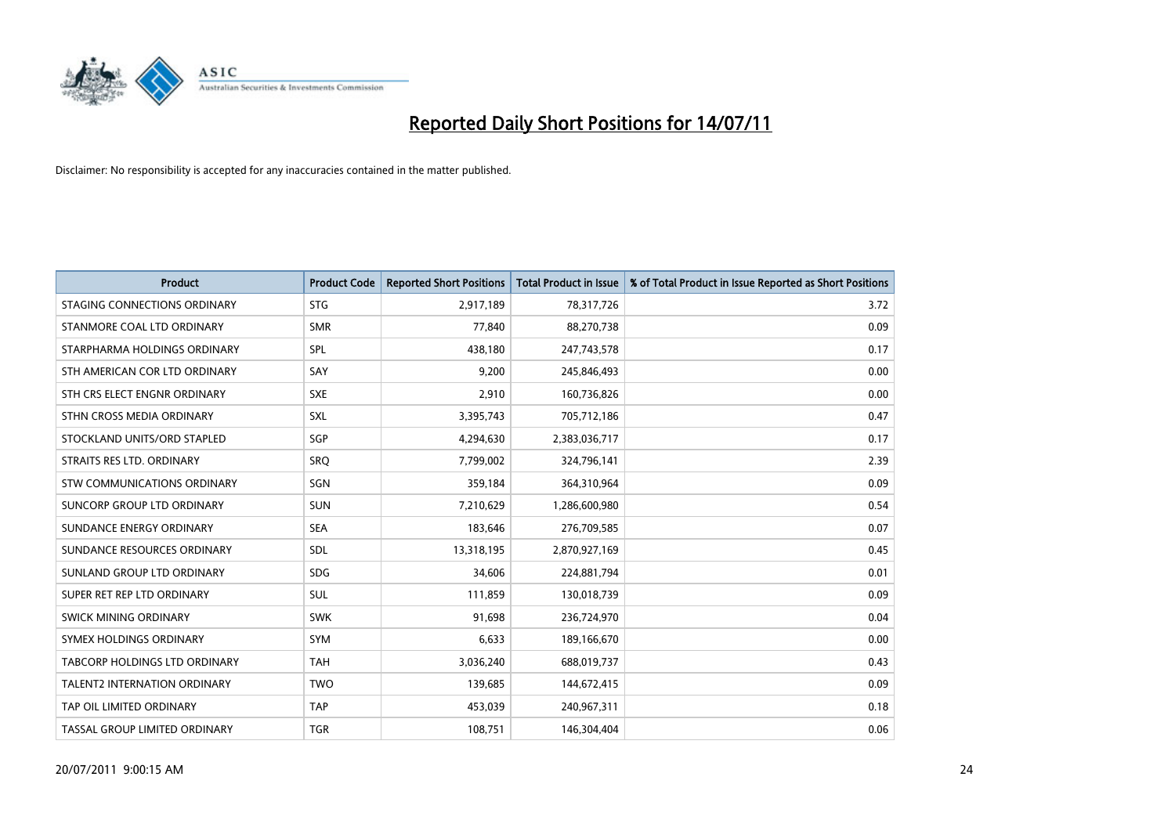

| <b>Product</b>                | <b>Product Code</b> | <b>Reported Short Positions</b> | Total Product in Issue | % of Total Product in Issue Reported as Short Positions |
|-------------------------------|---------------------|---------------------------------|------------------------|---------------------------------------------------------|
| STAGING CONNECTIONS ORDINARY  | <b>STG</b>          | 2,917,189                       | 78,317,726             | 3.72                                                    |
| STANMORE COAL LTD ORDINARY    | <b>SMR</b>          | 77,840                          | 88,270,738             | 0.09                                                    |
| STARPHARMA HOLDINGS ORDINARY  | SPL                 | 438,180                         | 247,743,578            | 0.17                                                    |
| STH AMERICAN COR LTD ORDINARY | SAY                 | 9,200                           | 245,846,493            | 0.00                                                    |
| STH CRS ELECT ENGNR ORDINARY  | <b>SXE</b>          | 2,910                           | 160,736,826            | 0.00                                                    |
| STHN CROSS MEDIA ORDINARY     | <b>SXL</b>          | 3,395,743                       | 705,712,186            | 0.47                                                    |
| STOCKLAND UNITS/ORD STAPLED   | <b>SGP</b>          | 4,294,630                       | 2,383,036,717          | 0.17                                                    |
| STRAITS RES LTD. ORDINARY     | <b>SRQ</b>          | 7,799,002                       | 324,796,141            | 2.39                                                    |
| STW COMMUNICATIONS ORDINARY   | SGN                 | 359,184                         | 364,310,964            | 0.09                                                    |
| SUNCORP GROUP LTD ORDINARY    | <b>SUN</b>          | 7,210,629                       | 1,286,600,980          | 0.54                                                    |
| SUNDANCE ENERGY ORDINARY      | <b>SEA</b>          | 183,646                         | 276,709,585            | 0.07                                                    |
| SUNDANCE RESOURCES ORDINARY   | SDL                 | 13,318,195                      | 2,870,927,169          | 0.45                                                    |
| SUNLAND GROUP LTD ORDINARY    | <b>SDG</b>          | 34.606                          | 224,881,794            | 0.01                                                    |
| SUPER RET REP LTD ORDINARY    | <b>SUL</b>          | 111,859                         | 130,018,739            | 0.09                                                    |
| SWICK MINING ORDINARY         | <b>SWK</b>          | 91,698                          | 236,724,970            | 0.04                                                    |
| SYMEX HOLDINGS ORDINARY       | <b>SYM</b>          | 6.633                           | 189,166,670            | 0.00                                                    |
| TABCORP HOLDINGS LTD ORDINARY | <b>TAH</b>          | 3,036,240                       | 688,019,737            | 0.43                                                    |
| TALENT2 INTERNATION ORDINARY  | <b>TWO</b>          | 139,685                         | 144,672,415            | 0.09                                                    |
| TAP OIL LIMITED ORDINARY      | <b>TAP</b>          | 453,039                         | 240,967,311            | 0.18                                                    |
| TASSAL GROUP LIMITED ORDINARY | <b>TGR</b>          | 108,751                         | 146,304,404            | 0.06                                                    |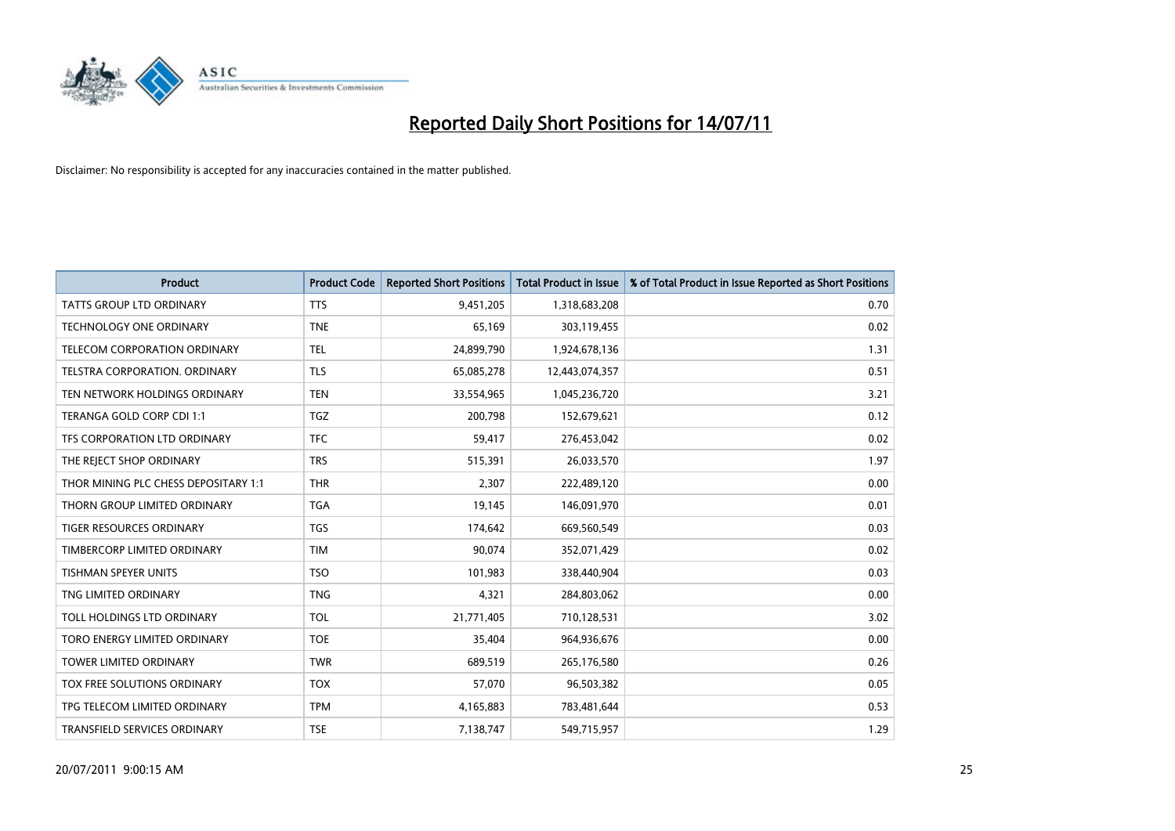

| <b>Product</b>                       | <b>Product Code</b> | <b>Reported Short Positions</b> | Total Product in Issue | % of Total Product in Issue Reported as Short Positions |
|--------------------------------------|---------------------|---------------------------------|------------------------|---------------------------------------------------------|
| <b>TATTS GROUP LTD ORDINARY</b>      | <b>TTS</b>          | 9,451,205                       | 1,318,683,208          | 0.70                                                    |
| <b>TECHNOLOGY ONE ORDINARY</b>       | <b>TNE</b>          | 65,169                          | 303,119,455            | 0.02                                                    |
| TELECOM CORPORATION ORDINARY         | <b>TEL</b>          | 24,899,790                      | 1,924,678,136          | 1.31                                                    |
| TELSTRA CORPORATION. ORDINARY        | <b>TLS</b>          | 65,085,278                      | 12,443,074,357         | 0.51                                                    |
| TEN NETWORK HOLDINGS ORDINARY        | <b>TEN</b>          | 33,554,965                      | 1,045,236,720          | 3.21                                                    |
| TERANGA GOLD CORP CDI 1:1            | <b>TGZ</b>          | 200,798                         | 152,679,621            | 0.12                                                    |
| TFS CORPORATION LTD ORDINARY         | <b>TFC</b>          | 59,417                          | 276,453,042            | 0.02                                                    |
| THE REJECT SHOP ORDINARY             | <b>TRS</b>          | 515,391                         | 26,033,570             | 1.97                                                    |
| THOR MINING PLC CHESS DEPOSITARY 1:1 | <b>THR</b>          | 2,307                           | 222,489,120            | 0.00                                                    |
| THORN GROUP LIMITED ORDINARY         | <b>TGA</b>          | 19,145                          | 146,091,970            | 0.01                                                    |
| <b>TIGER RESOURCES ORDINARY</b>      | <b>TGS</b>          | 174,642                         | 669,560,549            | 0.03                                                    |
| TIMBERCORP LIMITED ORDINARY          | <b>TIM</b>          | 90,074                          | 352,071,429            | 0.02                                                    |
| <b>TISHMAN SPEYER UNITS</b>          | <b>TSO</b>          | 101,983                         | 338,440,904            | 0.03                                                    |
| TNG LIMITED ORDINARY                 | <b>TNG</b>          | 4.321                           | 284,803,062            | 0.00                                                    |
| TOLL HOLDINGS LTD ORDINARY           | <b>TOL</b>          | 21,771,405                      | 710,128,531            | 3.02                                                    |
| TORO ENERGY LIMITED ORDINARY         | <b>TOE</b>          | 35,404                          | 964,936,676            | 0.00                                                    |
| <b>TOWER LIMITED ORDINARY</b>        | <b>TWR</b>          | 689,519                         | 265,176,580            | 0.26                                                    |
| TOX FREE SOLUTIONS ORDINARY          | <b>TOX</b>          | 57,070                          | 96,503,382             | 0.05                                                    |
| TPG TELECOM LIMITED ORDINARY         | <b>TPM</b>          | 4,165,883                       | 783,481,644            | 0.53                                                    |
| <b>TRANSFIELD SERVICES ORDINARY</b>  | <b>TSE</b>          | 7,138,747                       | 549,715,957            | 1.29                                                    |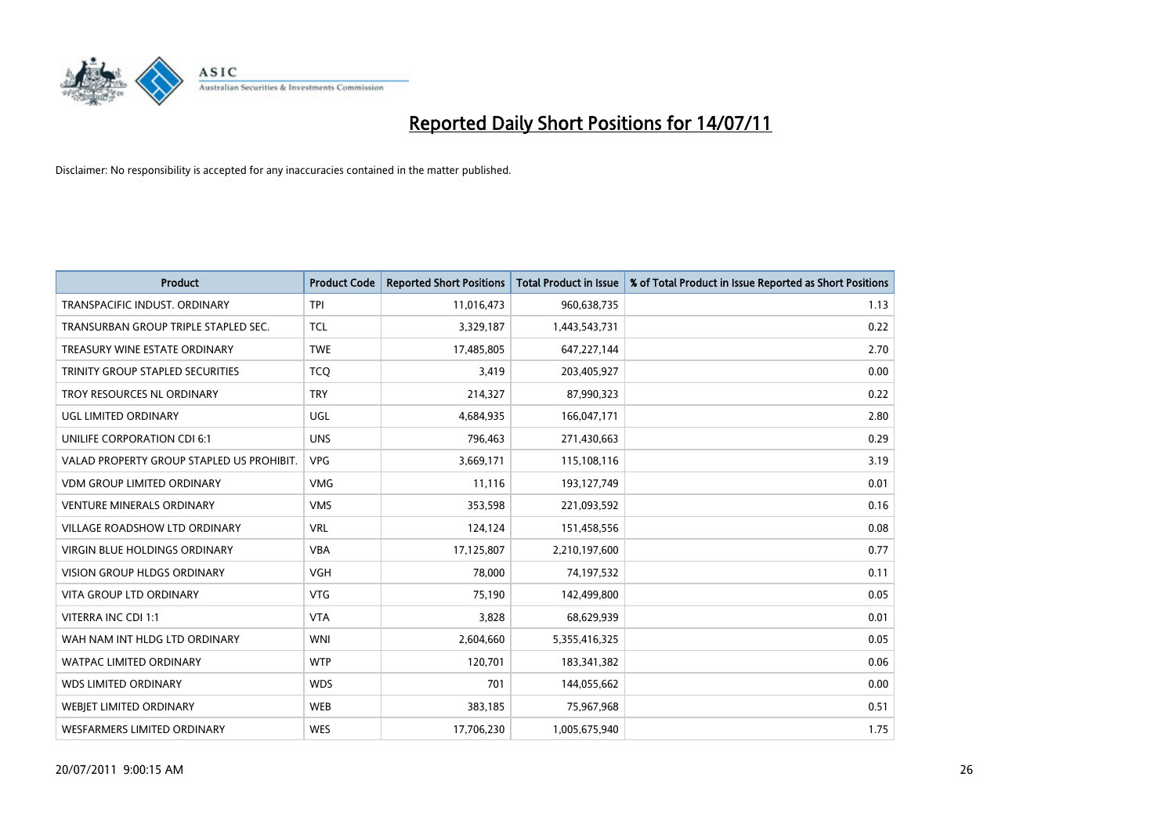

| <b>Product</b>                            | <b>Product Code</b> | <b>Reported Short Positions</b> | <b>Total Product in Issue</b> | % of Total Product in Issue Reported as Short Positions |
|-------------------------------------------|---------------------|---------------------------------|-------------------------------|---------------------------------------------------------|
| <b>TRANSPACIFIC INDUST, ORDINARY</b>      | <b>TPI</b>          | 11,016,473                      | 960,638,735                   | 1.13                                                    |
| TRANSURBAN GROUP TRIPLE STAPLED SEC.      | <b>TCL</b>          | 3,329,187                       | 1,443,543,731                 | 0.22                                                    |
| TREASURY WINE ESTATE ORDINARY             | <b>TWE</b>          | 17,485,805                      | 647,227,144                   | 2.70                                                    |
| TRINITY GROUP STAPLED SECURITIES          | <b>TCQ</b>          | 3,419                           | 203,405,927                   | 0.00                                                    |
| TROY RESOURCES NL ORDINARY                | <b>TRY</b>          | 214,327                         | 87,990,323                    | 0.22                                                    |
| UGL LIMITED ORDINARY                      | <b>UGL</b>          | 4,684,935                       | 166,047,171                   | 2.80                                                    |
| UNILIFE CORPORATION CDI 6:1               | <b>UNS</b>          | 796,463                         | 271,430,663                   | 0.29                                                    |
| VALAD PROPERTY GROUP STAPLED US PROHIBIT. | <b>VPG</b>          | 3,669,171                       | 115,108,116                   | 3.19                                                    |
| <b>VDM GROUP LIMITED ORDINARY</b>         | <b>VMG</b>          | 11,116                          | 193,127,749                   | 0.01                                                    |
| <b>VENTURE MINERALS ORDINARY</b>          | <b>VMS</b>          | 353,598                         | 221,093,592                   | 0.16                                                    |
| VILLAGE ROADSHOW LTD ORDINARY             | <b>VRL</b>          | 124,124                         | 151,458,556                   | 0.08                                                    |
| <b>VIRGIN BLUE HOLDINGS ORDINARY</b>      | <b>VBA</b>          | 17,125,807                      | 2,210,197,600                 | 0.77                                                    |
| VISION GROUP HLDGS ORDINARY               | <b>VGH</b>          | 78,000                          | 74,197,532                    | 0.11                                                    |
| <b>VITA GROUP LTD ORDINARY</b>            | <b>VTG</b>          | 75,190                          | 142,499,800                   | 0.05                                                    |
| VITERRA INC CDI 1:1                       | <b>VTA</b>          | 3,828                           | 68,629,939                    | 0.01                                                    |
| WAH NAM INT HLDG LTD ORDINARY             | <b>WNI</b>          | 2,604,660                       | 5,355,416,325                 | 0.05                                                    |
| WATPAC LIMITED ORDINARY                   | <b>WTP</b>          | 120,701                         | 183,341,382                   | 0.06                                                    |
| WDS LIMITED ORDINARY                      | <b>WDS</b>          | 701                             | 144,055,662                   | 0.00                                                    |
| <b>WEBIET LIMITED ORDINARY</b>            | <b>WEB</b>          | 383,185                         | 75,967,968                    | 0.51                                                    |
| WESFARMERS LIMITED ORDINARY               | <b>WES</b>          | 17,706,230                      | 1,005,675,940                 | 1.75                                                    |